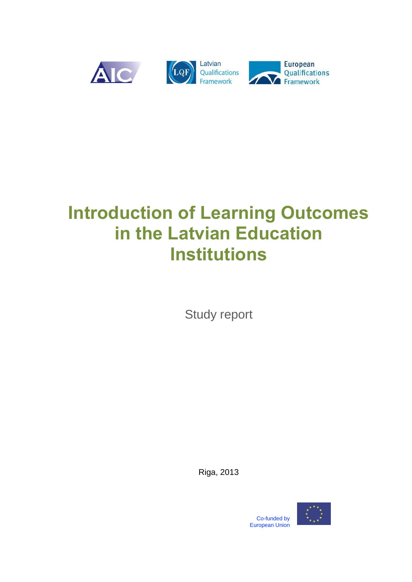

# **Introduction of Learning Outcomes in the Latvian Education Institutions**

Study report

Riga, 2013



Co-funded by European Union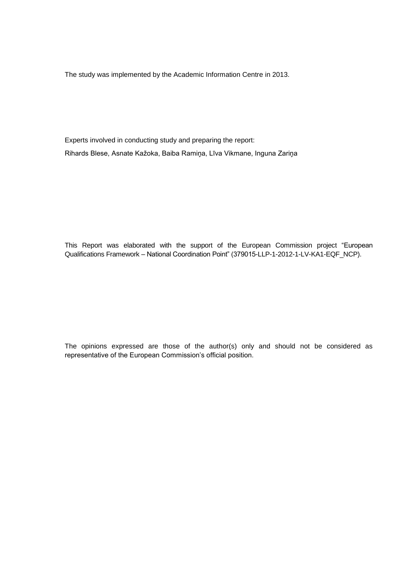The study was implemented by the Academic Information Centre in 2013.

Experts involved in conducting study and preparing the report: Rihards Blese, Asnate Kažoka, Baiba Ramiņa, Līva Vikmane, Inguna Zariņa

This Report was elaborated with the support of the European Commission project "European Qualifications Framework – National Coordination Point" (379015-LLP-1-2012-1-LV-KA1-EQF\_NCP).

The opinions expressed are those of the author(s) only and should not be considered as representative of the European Commission's official position.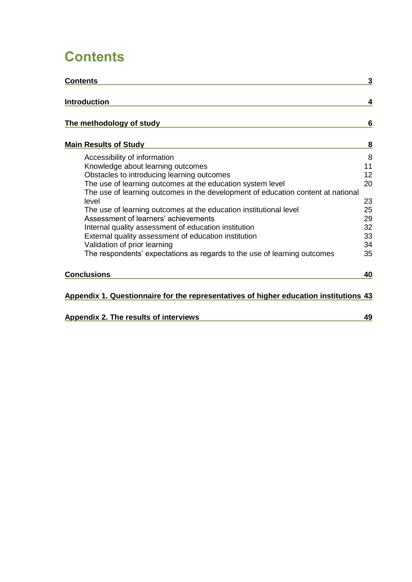## <span id="page-2-0"></span>**Contents**

| <b>Contents</b>                                                                       | 3  |
|---------------------------------------------------------------------------------------|----|
| <b>Introduction</b>                                                                   | 4  |
| The methodology of study                                                              | 6  |
| <b>Main Results of Study</b>                                                          | 8  |
| Accessibility of information                                                          | 8  |
| Knowledge about learning outcomes                                                     | 11 |
| Obstacles to introducing learning outcomes                                            | 12 |
| The use of learning outcomes at the education system level                            | 20 |
| The use of learning outcomes in the development of education content at national      |    |
| level                                                                                 | 23 |
| The use of learning outcomes at the education institutional level                     | 25 |
| Assessment of learners' achievements                                                  | 29 |
| Internal quality assessment of education institution                                  | 32 |
| External quality assessment of education institution                                  | 33 |
| Validation of prior learning                                                          | 34 |
| The respondents' expectations as regards to the use of learning outcomes              | 35 |
| <b>Conclusions</b>                                                                    | 40 |
| Appendix 1. Questionnaire for the representatives of higher education institutions 43 |    |

| Appendix 2. The results of interviews |  |
|---------------------------------------|--|
|                                       |  |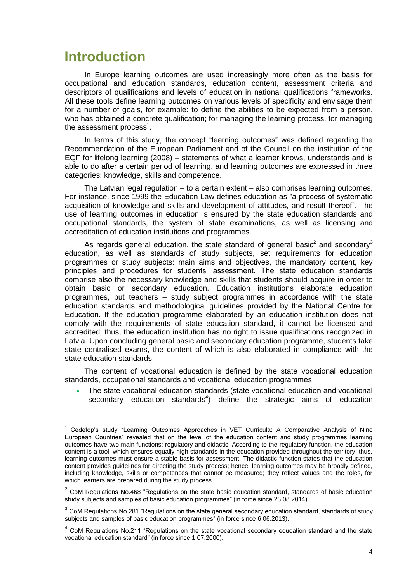## <span id="page-3-0"></span>**Introduction**

-

In Europe learning outcomes are used increasingly more often as the basis for occupational and education standards, education content, assessment criteria and descriptors of qualifications and levels of education in national qualifications frameworks. All these tools define learning outcomes on various levels of specificity and envisage them for a number of goals, for example: to define the abilities to be expected from a person, who has obtained a concrete qualification; for managing the learning process, for managing the assessment process $^{\text{1}}$ .

In terms of this study, the concept "learning outcomes" was defined regarding the Recommendation of the European Parliament and of the Council on the institution of the EQF for lifelong learning (2008) – statements of what a learner knows, understands and is able to do after a certain period of learning, and learning outcomes are expressed in three categories: knowledge, skills and competence.

The Latvian legal regulation – to a certain extent – also comprises learning outcomes. For instance, since 1999 the Education Law defines education as "a process of systematic acquisition of knowledge and skills and development of attitudes, and result thereof". The use of learning outcomes in education is ensured by the state education standards and occupational standards, the system of state examinations, as well as licensing and accreditation of education institutions and programmes.

As regards general education, the state standard of general basic<sup>2</sup> and secondary<sup>3</sup> education, as well as standards of study subjects, set requirements for education programmes or study subjects: main aims and objectives, the mandatory content, key principles and procedures for students' assessment. The state education standards comprise also the necessary knowledge and skills that students should acquire in order to obtain basic or secondary education. Education institutions elaborate education programmes, but teachers – study subject programmes in accordance with the state education standards and methodological guidelines provided by the National Centre for Education. If the education programme elaborated by an education institution does not comply with the requirements of state education standard, it cannot be licensed and accredited; thus, the education institution has no right to issue qualifications recognized in Latvia. Upon concluding general basic and secondary education programme, students take state centralised exams, the content of which is also elaborated in compliance with the state education standards.

The content of vocational education is defined by the state vocational education standards, occupational standards and vocational education programmes:

 The state vocational education standards (state vocational education and vocational secondary education standards<sup>4</sup>) define the strategic aims of education

<sup>&</sup>lt;sup>1</sup> Cedefop's study "Learning Outcomes Approaches in VET Curricula: A Comparative Analysis of Nine European Countries" revealed that on the level of the education content and study programmes learning outcomes have two main functions: regulatory and didactic. According to the regulatory function, the education content is a tool, which ensures equally high standards in the education provided throughout the territory; thus, learning outcomes must ensure a stable basis for assessment. The didactic function states that the education content provides guidelines for directing the study process; hence, learning outcomes may be broadly defined, including knowledge, skills or competences that cannot be measured; they reflect values and the roles, for which learners are prepared during the study process.

 $2$  CoM Regulations No.468 "Regulations on the state basic education standard, standards of basic education study subjects and samples of basic education programmes" (in force since 23.08.2014).

 $3$  CoM Regulations No.281 "Regulations on the state general secondary education standard, standards of study subjects and samples of basic education programmes" (in force since 6.06.2013).

 $4$  CoM Regulations No.211 "Regulations on the state vocational secondary education standard and the state vocational education standard" (in force since 1.07.2000).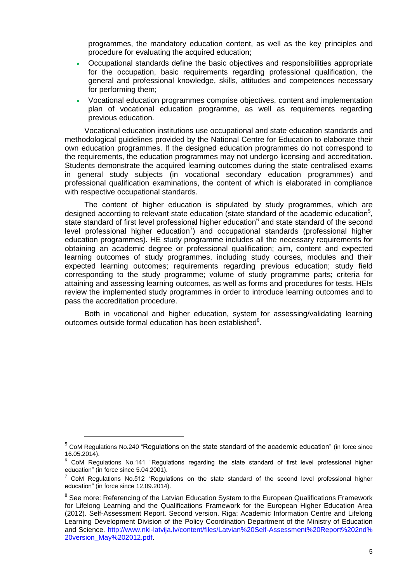programmes, the mandatory education content, as well as the key principles and procedure for evaluating the acquired education;

- Occupational standards define the basic objectives and responsibilities appropriate for the occupation, basic requirements regarding professional qualification, the general and professional knowledge, skills, attitudes and competences necessary for performing them;
- Vocational education programmes comprise objectives, content and implementation plan of vocational education programme, as well as requirements regarding previous education.

Vocational education institutions use occupational and state education standards and methodological guidelines provided by the National Centre for Education to elaborate their own education programmes. If the designed education programmes do not correspond to the requirements, the education programmes may not undergo licensing and accreditation. Students demonstrate the acquired learning outcomes during the state centralised exams in general study subjects (in vocational secondary education programmes) and professional qualification examinations, the content of which is elaborated in compliance with respective occupational standards.

The content of higher education is stipulated by study programmes, which are designed according to relevant state education (state standard of the academic education<sup>5</sup>, state standard of first level professional higher education<sup>6</sup> and state standard of the second level professional higher education<sup>7</sup>) and occupational standards (professional higher education programmes). HE study programme includes all the necessary requirements for obtaining an academic degree or professional qualification; aim, content and expected learning outcomes of study programmes, including study courses, modules and their expected learning outcomes; requirements regarding previous education; study field corresponding to the study programme; volume of study programme parts; criteria for attaining and assessing learning outcomes, as well as forms and procedures for tests. HEIs review the implemented study programmes in order to introduce learning outcomes and to pass the accreditation procedure.

Both in vocational and higher education, system for assessing/validating learning outcomes outside formal education has been established<sup>8</sup>.

-

<sup>&</sup>lt;sup>5</sup> CoM Regulations No.240 "Regulations on the state standard of the academic education" (in force since 16.05.2014).

<sup>&</sup>lt;sup>6</sup> CoM Regulations No.141 "Regulations regarding the state standard of first level professional higher education" (in force since 5.04.2001).

<sup>7</sup> CoM Regulations No.512 "Regulations on the state standard of the second level professional higher education" (in force since 12.09.2014).

<sup>&</sup>lt;sup>8</sup> See more: Referencing of the Latvian Education System to the European Qualifications Framework for Lifelong Learning and the Qualifications Framework for the European Higher Education Area (2012). Self-Assessment Report. Second version. Riga: Academic Information Centre and Lifelong Learning Development Division of the Policy Coordination Department of the Ministry of Education and Science. [http://www.nki-latvija.lv/content/files/Latvian%20Self-Assessment%20Report%202nd%](http://www.nki-latvija.lv/content/files/Latvian%20Self-Assessment%20Report%202nd%25%2020version_May%202012.pdf)  [20version\\_May%202012.pdf.](http://www.nki-latvija.lv/content/files/Latvian%20Self-Assessment%20Report%202nd%25%2020version_May%202012.pdf)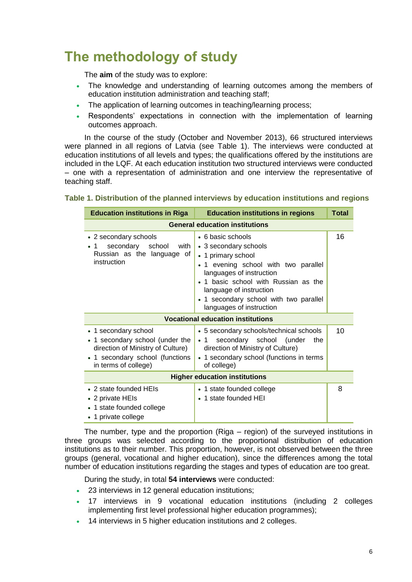## <span id="page-5-0"></span>**The methodology of study**

The **aim** of the study was to explore:

- The knowledge and understanding of learning outcomes among the members of education institution administration and teaching staff;
- The application of learning outcomes in teaching/learning process;
- Respondents' expectations in connection with the implementation of learning outcomes approach.

In the course of the study (October and November 2013), 66 structured interviews were planned in all regions of Latvia (see Table 1). The interviews were conducted at education institutions of all levels and types; the qualifications offered by the institutions are included in the LQF. At each education institution two structured interviews were conducted – one with a representation of administration and one interview the representative of teaching staff.

| <b>Education institutions in Riga</b><br><b>Education institutions in regions</b><br><b>Total</b>                                                       |                                                                                                                                                                                                                                                                             |    |  |  |
|---------------------------------------------------------------------------------------------------------------------------------------------------------|-----------------------------------------------------------------------------------------------------------------------------------------------------------------------------------------------------------------------------------------------------------------------------|----|--|--|
|                                                                                                                                                         | <b>General education institutions</b>                                                                                                                                                                                                                                       |    |  |  |
| • 2 secondary schools<br>school<br>secondary<br>with<br>• 1<br>Russian as the language of<br>instruction                                                | • 6 basic schools<br>• 3 secondary schools<br>• 1 primary school<br>• 1 evening school with two parallel<br>languages of instruction<br>1 basic school with Russian as the<br>language of instruction<br>• 1 secondary school with two parallel<br>languages of instruction | 16 |  |  |
|                                                                                                                                                         | <b>Vocational education institutions</b>                                                                                                                                                                                                                                    |    |  |  |
| • 1 secondary school<br>• 1 secondary school (under the<br>direction of Ministry of Culture)<br>• 1 secondary school (functions<br>in terms of college) | • 5 secondary schools/technical schools<br>secondary school (under<br>the<br>$\cdot$ 1<br>direction of Ministry of Culture)<br>• 1 secondary school (functions in terms<br>of college)                                                                                      | 10 |  |  |
| <b>Higher education institutions</b>                                                                                                                    |                                                                                                                                                                                                                                                                             |    |  |  |
| $\bullet$ 2 state founded HEIs<br>• 2 private HEIs<br>• 1 state founded college<br>• 1 private college                                                  | • 1 state founded college<br>• 1 state founded HEI                                                                                                                                                                                                                          | 8  |  |  |

## **Table 1. Distribution of the planned interviews by education institutions and regions**

The number, type and the proportion (Riga – region) of the surveyed institutions in three groups was selected according to the proportional distribution of education institutions as to their number. This proportion, however, is not observed between the three groups (general, vocational and higher education), since the differences among the total number of education institutions regarding the stages and types of education are too great.

During the study, in total **54 interviews** were conducted:

- 23 interviews in 12 general education institutions;
- 17 interviews in 9 vocational education institutions (including 2 colleges implementing first level professional higher education programmes);
- 14 interviews in 5 higher education institutions and 2 colleges.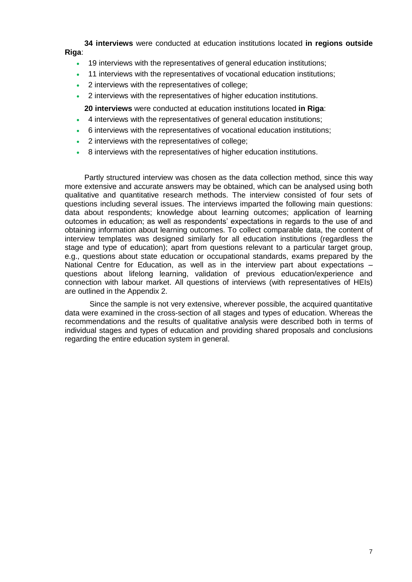**34 interviews** were conducted at education institutions located **in regions outside Riga**:

- 19 interviews with the representatives of general education institutions;
- 11 interviews with the representatives of vocational education institutions;
- 2 interviews with the representatives of college;
- 2 interviews with the representatives of higher education institutions.
	- **20 interviews** were conducted at education institutions located **in Riga**:
- 4 interviews with the representatives of general education institutions;
- 6 interviews with the representatives of vocational education institutions;
- 2 interviews with the representatives of college;
- 8 interviews with the representatives of higher education institutions.

Partly structured interview was chosen as the data collection method, since this way more extensive and accurate answers may be obtained, which can be analysed using both qualitative and quantitative research methods. The interview consisted of four sets of questions including several issues. The interviews imparted the following main questions: data about respondents; knowledge about learning outcomes; application of learning outcomes in education; as well as respondents' expectations in regards to the use of and obtaining information about learning outcomes. To collect comparable data, the content of interview templates was designed similarly for all education institutions (regardless the stage and type of education); apart from questions relevant to a particular target group, e.g., questions about state education or occupational standards, exams prepared by the National Centre for Education, as well as in the interview part about expectations – questions about lifelong learning, validation of previous education/experience and connection with labour market. All questions of interviews (with representatives of HEIs) are outlined in the Appendix 2.

Since the sample is not very extensive, wherever possible, the acquired quantitative data were examined in the cross-section of all stages and types of education. Whereas the recommendations and the results of qualitative analysis were described both in terms of individual stages and types of education and providing shared proposals and conclusions regarding the entire education system in general.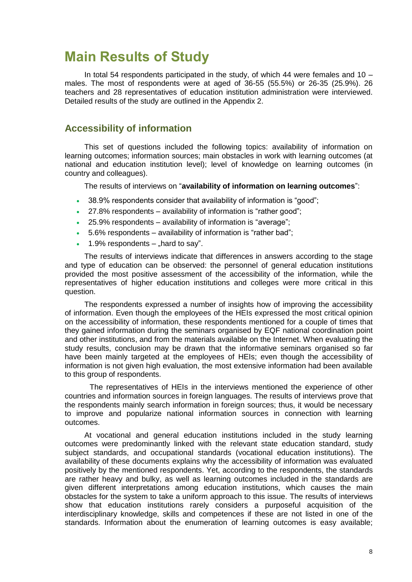## <span id="page-7-0"></span>**Main Results of Study**

In total 54 respondents participated in the study, of which 44 were females and 10 – males. The most of respondents were at aged of 36-55 (55.5%) or 26-35 (25.9%). 26 teachers and 28 representatives of education institution administration were interviewed. Detailed results of the study are outlined in the Appendix 2.

## <span id="page-7-1"></span>**Accessibility of information**

This set of questions included the following topics: availability of information on learning outcomes; information sources; main obstacles in work with learning outcomes (at national and education institution level); level of knowledge on learning outcomes (in country and colleagues).

The results of interviews on "**availability of information on learning outcomes**":

- 38.9% respondents consider that availability of information is "good";
- 27.8% respondents availability of information is "rather good";
- 25.9% respondents availability of information is "average";
- 5.6% respondents availability of information is "rather bad";
- 1.9% respondents  $-$  hard to say".

The results of interviews indicate that differences in answers according to the stage and type of education can be observed: the personnel of general education institutions provided the most positive assessment of the accessibility of the information, while the representatives of higher education institutions and colleges were more critical in this question.

The respondents expressed a number of insights how of improving the accessibility of information. Even though the employees of the HEIs expressed the most critical opinion on the accessibility of information, these respondents mentioned for a couple of times that they gained information during the seminars organised by EQF national coordination point and other institutions, and from the materials available on the Internet. When evaluating the study results, conclusion may be drawn that the informative seminars organised so far have been mainly targeted at the employees of HEIs; even though the accessibility of information is not given high evaluation, the most extensive information had been available to this group of respondents.

The representatives of HEIs in the interviews mentioned the experience of other countries and information sources in foreign languages. The results of interviews prove that the respondents mainly search information in foreign sources; thus, it would be necessary to improve and popularize national information sources in connection with learning outcomes.

At vocational and general education institutions included in the study learning outcomes were predominantly linked with the relevant state education standard, study subject standards, and occupational standards (vocational education institutions). The availability of these documents explains why the accessibility of information was evaluated positively by the mentioned respondents. Yet, according to the respondents, the standards are rather heavy and bulky, as well as learning outcomes included in the standards are given different interpretations among education institutions, which causes the main obstacles for the system to take a uniform approach to this issue. The results of interviews show that education institutions rarely considers a purposeful acquisition of the interdisciplinary knowledge, skills and competences if these are not listed in one of the standards. Information about the enumeration of learning outcomes is easy available;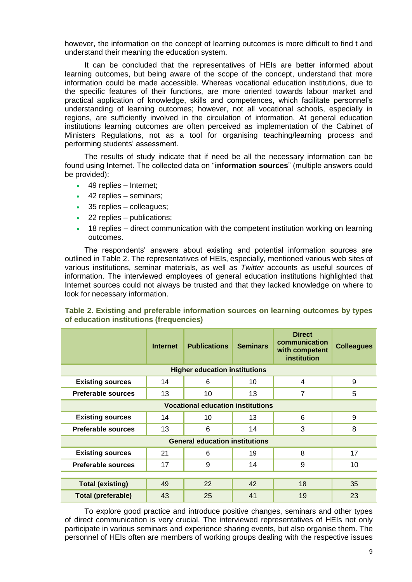however, the information on the concept of learning outcomes is more difficult to find t and understand their meaning the education system.

It can be concluded that the representatives of HEIs are better informed about learning outcomes, but being aware of the scope of the concept, understand that more information could be made accessible. Whereas vocational education institutions, due to the specific features of their functions, are more oriented towards labour market and practical application of knowledge, skills and competences, which facilitate personnel's understanding of learning outcomes; however, not all vocational schools, especially in regions, are sufficiently involved in the circulation of information. At general education institutions learning outcomes are often perceived as implementation of the Cabinet of Ministers Regulations, not as a tool for organising teaching/learning process and performing students' assessment.

The results of study indicate that if need be all the necessary information can be found using Internet. The collected data on "**information sources**" (multiple answers could be provided):

- 49 replies Internet;
- 42 replies seminars:
- 35 replies colleagues;
- 22 replies publications;
- 18 replies direct communication with the competent institution working on learning outcomes.

The respondents' answers about existing and potential information sources are outlined in Table 2. The representatives of HEIs, especially, mentioned various web sites of various institutions, seminar materials, as well as *Twitter* accounts as useful sources of information. The interviewed employees of general education institutions highlighted that Internet sources could not always be trusted and that they lacked knowledge on where to look for necessary information.

|                                          | <b>Internet</b> | <b>Publications</b>                   | <b>Seminars</b> | <b>Direct</b><br>communication<br>with competent<br>institution | <b>Colleagues</b> |  |
|------------------------------------------|-----------------|---------------------------------------|-----------------|-----------------------------------------------------------------|-------------------|--|
|                                          |                 | <b>Higher education institutions</b>  |                 |                                                                 |                   |  |
| <b>Existing sources</b>                  | 14              | 6                                     | 10              | 4                                                               | 9                 |  |
| <b>Preferable sources</b>                | 13              | 10                                    | 13              | 7                                                               | 5                 |  |
| <b>Vocational education institutions</b> |                 |                                       |                 |                                                                 |                   |  |
| <b>Existing sources</b>                  | 14              | 10                                    | 13              | 6                                                               | 9                 |  |
| <b>Preferable sources</b>                | 13              | 6                                     | 14              | 3                                                               | 8                 |  |
|                                          |                 | <b>General education institutions</b> |                 |                                                                 |                   |  |
| <b>Existing sources</b>                  | 21              | 6                                     | 19              | 8                                                               | 17                |  |
| <b>Preferable sources</b>                | 17              | 9                                     | 14              | 9                                                               | 10                |  |
|                                          |                 |                                       |                 |                                                                 |                   |  |
| <b>Total (existing)</b>                  | 49              | 22                                    | 42              | 18                                                              | 35                |  |
| <b>Total (preferable)</b>                | 43              | 25                                    | 41              | 19                                                              | 23                |  |

### **Table 2. Existing and preferable information sources on learning outcomes by types of education institutions (frequencies)**

To explore good practice and introduce positive changes, seminars and other types of direct communication is very crucial. The interviewed representatives of HEIs not only participate in various seminars and experience sharing events, but also organise them. The personnel of HEIs often are members of working groups dealing with the respective issues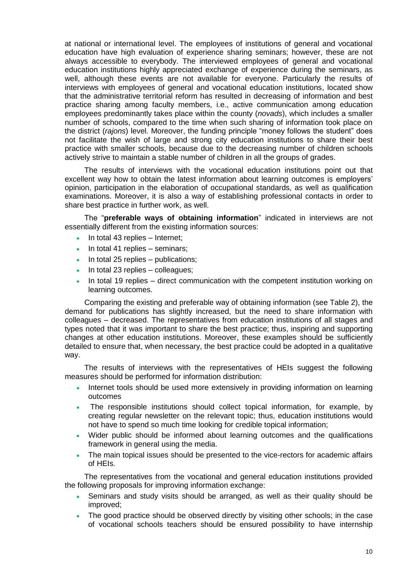at national or international level. The employees of institutions of general and vocational education have high evaluation of experience sharing seminars; however, these are not always accessible to everybody. The interviewed employees of general and vocational education institutions highly appreciated exchange of experience during the seminars, as well, although these events are not available for everyone. Particularly the results of interviews with employees of general and vocational education institutions, located show that the administrative territorial reform has resulted in decreasing of information and best practice sharing among faculty members, i.e., active communication among education employees predominantly takes place within the county (*novads*), which includes a smaller number of schools, compared to the time when such sharing of information took place on the district (*rajons*) level. Moreover, the funding principle "money follows the student" does not facilitate the wish of large and strong city education institutions to share their best practice with smaller schools, because due to the decreasing number of children schools actively strive to maintain a stable number of children in all the groups of grades.

The results of interviews with the vocational education institutions point out that excellent way how to obtain the latest information about learning outcomes is employers' opinion, participation in the elaboration of occupational standards, as well as qualification examinations. Moreover, it is also a way of establishing professional contacts in order to share best practice in further work, as well.

The "**preferable ways of obtaining information**" indicated in interviews are not essentially different from the existing information sources:

- $\cdot$  In total 43 replies Internet;
- In total 41 replies seminars;
- In total 25 replies publications;
- $\cdot$  In total 23 replies colleagues;
- In total 19 replies direct communication with the competent institution working on learning outcomes.

Comparing the existing and preferable way of obtaining information (see Table 2), the demand for publications has slightly increased, but the need to share information with colleagues – decreased. The representatives from education institutions of all stages and types noted that it was important to share the best practice; thus, inspiring and supporting changes at other education institutions. Moreover, these examples should be sufficiently detailed to ensure that, when necessary, the best practice could be adopted in a qualitative way.

The results of interviews with the representatives of HEIs suggest the following measures should be performed for information distribution:

- Internet tools should be used more extensively in providing information on learning outcomes
- The responsible institutions should collect topical information, for example, by creating regular newsletter on the relevant topic; thus, education institutions would not have to spend so much time looking for credible topical information;
- Wider public should be informed about learning outcomes and the qualifications framework in general using the media.
- The main topical issues should be presented to the vice-rectors for academic affairs of HEIs.

The representatives from the vocational and general education institutions provided the following proposals for improving information exchange:

- Seminars and study visits should be arranged, as well as their quality should be improved;
- The good practice should be observed directly by visiting other schools; in the case of vocational schools teachers should be ensured possibility to have internship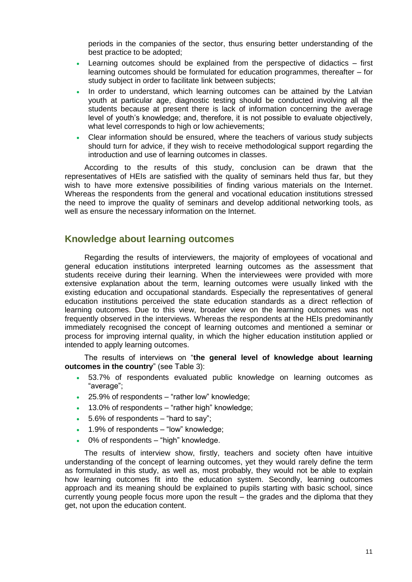periods in the companies of the sector, thus ensuring better understanding of the best practice to be adopted;

- Learning outcomes should be explained from the perspective of didactics first learning outcomes should be formulated for education programmes, thereafter – for study subject in order to facilitate link between subjects;
- In order to understand, which learning outcomes can be attained by the Latvian youth at particular age, diagnostic testing should be conducted involving all the students because at present there is lack of information concerning the average level of youth's knowledge; and, therefore, it is not possible to evaluate objectively, what level corresponds to high or low achievements:
- Clear information should be ensured, where the teachers of various study subjects should turn for advice, if they wish to receive methodological support regarding the introduction and use of learning outcomes in classes.

According to the results of this study, conclusion can be drawn that the representatives of HEIs are satisfied with the quality of seminars held thus far, but they wish to have more extensive possibilities of finding various materials on the Internet. Whereas the respondents from the general and vocational education institutions stressed the need to improve the quality of seminars and develop additional networking tools, as well as ensure the necessary information on the Internet.

## <span id="page-10-0"></span>**Knowledge about learning outcomes**

Regarding the results of interviewers, the majority of employees of vocational and general education institutions interpreted learning outcomes as the assessment that students receive during their learning. When the interviewees were provided with more extensive explanation about the term, learning outcomes were usually linked with the existing education and occupational standards. Especially the representatives of general education institutions perceived the state education standards as a direct reflection of learning outcomes. Due to this view, broader view on the learning outcomes was not frequently observed in the interviews. Whereas the respondents at the HEIs predominantly immediately recognised the concept of learning outcomes and mentioned a seminar or process for improving internal quality, in which the higher education institution applied or intended to apply learning outcomes.

The results of interviews on "**the general level of knowledge about learning outcomes in the country**" (see Table 3):

- 53.7% of respondents evaluated public knowledge on learning outcomes as "average";
- 25.9% of respondents "rather low" knowledge;
- 13.0% of respondents "rather high" knowledge;
- $\bullet$  5.6% of respondents "hard to say";
- 1.9% of respondents "low" knowledge;
- 0% of respondents "high" knowledge.

The results of interview show, firstly, teachers and society often have intuitive understanding of the concept of learning outcomes, yet they would rarely define the term as formulated in this study, as well as, most probably, they would not be able to explain how learning outcomes fit into the education system. Secondly, learning outcomes approach and its meaning should be explained to pupils starting with basic school, since currently young people focus more upon the result – the grades and the diploma that they get, not upon the education content.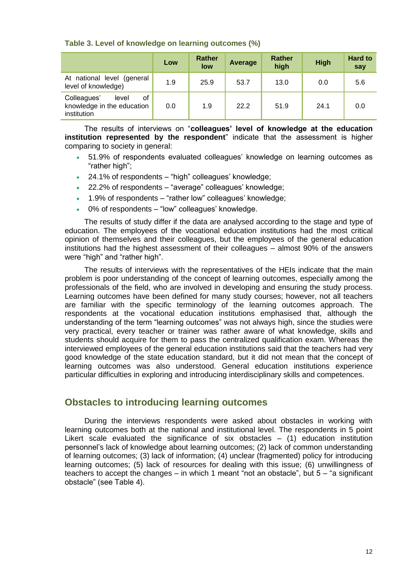|                                                                         | Low | <b>Rather</b><br>low | Average | Rather<br>high | <b>High</b> | <b>Hard to</b><br>say |
|-------------------------------------------------------------------------|-----|----------------------|---------|----------------|-------------|-----------------------|
| At national level (general<br>level of knowledge)                       | 1.9 | 25.9                 | 53.7    | 13.0           | 0.0         | 5.6                   |
| Colleagues'<br>οf<br>level<br>knowledge in the education<br>institution | 0.0 | 1.9                  | 22.2    | 51.9           | 24.1        | 0.0                   |

### **Table 3. Level of knowledge on learning outcomes (%)**

The results of interviews on "**colleagues' level of knowledge at the education institution represented by the respondent**" indicate that the assessment is higher comparing to society in general:

- 51.9% of respondents evaluated colleagues' knowledge on learning outcomes as "rather high";
- 24.1% of respondents "high" colleagues' knowledge;
- 22.2% of respondents "average" colleagues' knowledge;
- 1.9% of respondents "rather low" colleagues' knowledge;
- 0% of respondents "low" colleagues' knowledge.

The results of study differ if the data are analysed according to the stage and type of education. The employees of the vocational education institutions had the most critical opinion of themselves and their colleagues, but the employees of the general education institutions had the highest assessment of their colleagues – almost 90% of the answers were "high" and "rather high".

The results of interviews with the representatives of the HEIs indicate that the main problem is poor understanding of the concept of learning outcomes, especially among the professionals of the field, who are involved in developing and ensuring the study process. Learning outcomes have been defined for many study courses; however, not all teachers are familiar with the specific terminology of the learning outcomes approach. The respondents at the vocational education institutions emphasised that, although the understanding of the term "learning outcomes" was not always high, since the studies were very practical, every teacher or trainer was rather aware of what knowledge, skills and students should acquire for them to pass the centralized qualification exam. Whereas the interviewed employees of the general education institutions said that the teachers had very good knowledge of the state education standard, but it did not mean that the concept of learning outcomes was also understood. General education institutions experience particular difficulties in exploring and introducing interdisciplinary skills and competences.

## <span id="page-11-0"></span>**Obstacles to introducing learning outcomes**

During the interviews respondents were asked about obstacles in working with learning outcomes both at the national and institutional level. The respondents in 5 point Likert scale evaluated the significance of six obstacles  $-$  (1) education institution personnel's lack of knowledge about learning outcomes; (2) lack of common understanding of learning outcomes; (3) lack of information; (4) unclear (fragmented) policy for introducing learning outcomes; (5) lack of resources for dealing with this issue; (6) unwillingness of teachers to accept the changes – in which 1 meant "not an obstacle", but 5 – "a significant obstacle" (see Table 4).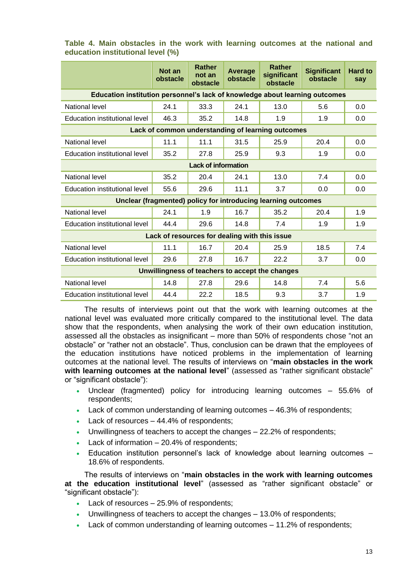|                                                                             | Not an<br>obstacle                            | <b>Rather</b><br>not an<br>obstacle | Average<br>obstacle | <b>Rather</b><br>significant<br>obstacle                      | <b>Significant</b><br>obstacle | <b>Hard to</b><br>say |  |
|-----------------------------------------------------------------------------|-----------------------------------------------|-------------------------------------|---------------------|---------------------------------------------------------------|--------------------------------|-----------------------|--|
| Education institution personnel's lack of knowledge about learning outcomes |                                               |                                     |                     |                                                               |                                |                       |  |
| National level                                                              | 24.1                                          | 33.3                                | 24.1                | 13.0                                                          | 5.6                            | 0.0                   |  |
| Education institutional level                                               | 46.3                                          | 35.2                                | 14.8                | 1.9                                                           | 1.9                            | 0.0                   |  |
|                                                                             |                                               |                                     |                     | Lack of common understanding of learning outcomes             |                                |                       |  |
| National level                                                              | 11.1                                          | 11.1                                | 31.5                | 25.9                                                          | 20.4                           | 0.0                   |  |
| Education institutional level                                               | 35.2                                          | 27.8                                | 25.9                | 9.3                                                           | 1.9                            | 0.0                   |  |
| <b>Lack of information</b>                                                  |                                               |                                     |                     |                                                               |                                |                       |  |
| National level                                                              | 35.2                                          | 20.4                                | 24.1                | 13.0                                                          | 7.4                            | 0.0                   |  |
| Education institutional level                                               | 55.6                                          | 29.6                                | 11.1                | 3.7                                                           | 0.0                            | 0.0                   |  |
|                                                                             |                                               |                                     |                     | Unclear (fragmented) policy for introducing learning outcomes |                                |                       |  |
| National level                                                              | 24.1                                          | 1.9                                 | 16.7                | 35.2                                                          | 20.4                           | 1.9                   |  |
| Education institutional level                                               | 44.4                                          | 29.6                                | 14.8                | 7.4                                                           | 1.9                            | 1.9                   |  |
|                                                                             | Lack of resources for dealing with this issue |                                     |                     |                                                               |                                |                       |  |
| National level                                                              | 11.1                                          | 16.7                                | 20.4                | 25.9                                                          | 18.5                           | 7.4                   |  |
| Education institutional level                                               | 29.6                                          | 27.8                                | 16.7                | 22.2                                                          | 3.7                            | 0.0                   |  |
| Unwillingness of teachers to accept the changes                             |                                               |                                     |                     |                                                               |                                |                       |  |
| National level                                                              | 14.8                                          | 27.8                                | 29.6                | 14.8                                                          | 7.4                            | 5.6                   |  |
| Education institutional level                                               | 44.4                                          | 22.2                                | 18.5                | 9.3                                                           | 3.7                            | 1.9                   |  |

## **Table 4. Main obstacles in the work with learning outcomes at the national and education institutional level (%)**

The results of interviews point out that the work with learning outcomes at the national level was evaluated more critically compared to the institutional level. The data show that the respondents, when analysing the work of their own education institution, assessed all the obstacles as insignificant – more than 50% of respondents chose "not an obstacle" or "rather not an obstacle". Thus, conclusion can be drawn that the employees of the education institutions have noticed problems in the implementation of learning outcomes at the national level. The results of interviews on "**main obstacles in the work**  with learning outcomes at the national level" (assessed as "rather significant obstacle" or "significant obstacle"):

- Unclear (fragmented) policy for introducing learning outcomes 55.6% of respondents;
- Lack of common understanding of learning outcomes 46.3% of respondents;
- Lack of resources 44.4% of respondents;
- Unwillingness of teachers to accept the changes 22.2% of respondents;
- Lack of information 20.4% of respondents;
- Education institution personnel's lack of knowledge about learning outcomes 18.6% of respondents.

The results of interviews on "**main obstacles in the work with learning outcomes at the education institutional level**" (assessed as "rather significant obstacle" or "significant obstacle"):

- Lack of resources 25.9% of respondents;
- Unwillingness of teachers to accept the changes 13.0% of respondents;
- Lack of common understanding of learning outcomes 11.2% of respondents;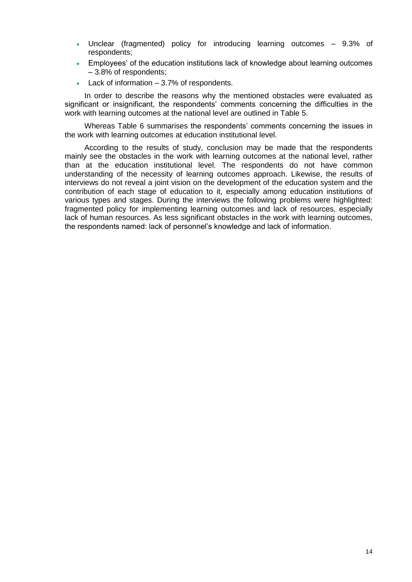- Unclear (fragmented) policy for introducing learning outcomes 9.3% of respondents;
- Employees' of the education institutions lack of knowledge about learning outcomes – 3.8% of respondents;
- Lack of information 3.7% of respondents.

In order to describe the reasons why the mentioned obstacles were evaluated as significant or insignificant, the respondents' comments concerning the difficulties in the work with learning outcomes at the national level are outlined in Table 5.

Whereas Table 6 summarises the respondents' comments concerning the issues in the work with learning outcomes at education institutional level.

According to the results of study, conclusion may be made that the respondents mainly see the obstacles in the work with learning outcomes at the national level, rather than at the education institutional level. The respondents do not have common understanding of the necessity of learning outcomes approach. Likewise, the results of interviews do not reveal a joint vision on the development of the education system and the contribution of each stage of education to it, especially among education institutions of various types and stages. During the interviews the following problems were highlighted: fragmented policy for implementing learning outcomes and lack of resources, especially lack of human resources. As less significant obstacles in the work with learning outcomes, the respondents named: lack of personnel's knowledge and lack of information.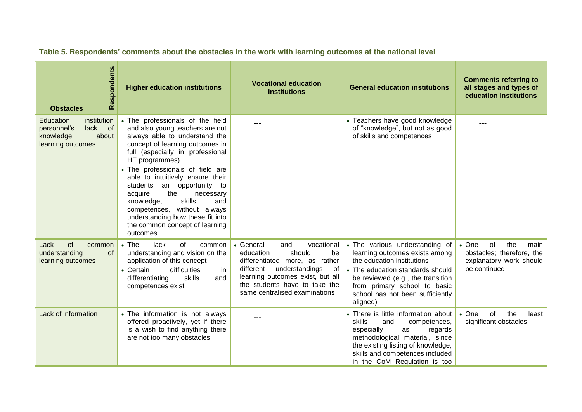| Respondents<br><b>Obstacles</b>                                                                  | <b>Higher education institutions</b>                                                                                                                                                                                                                                                                                                                                                                                                                                                     | <b>Vocational education</b><br><b>institutions</b>                                                                                                                                                                                       | <b>General education institutions</b>                                                                                                                                                                                                                   | <b>Comments referring to</b><br>all stages and types of<br>education institutions                          |
|--------------------------------------------------------------------------------------------------|------------------------------------------------------------------------------------------------------------------------------------------------------------------------------------------------------------------------------------------------------------------------------------------------------------------------------------------------------------------------------------------------------------------------------------------------------------------------------------------|------------------------------------------------------------------------------------------------------------------------------------------------------------------------------------------------------------------------------------------|---------------------------------------------------------------------------------------------------------------------------------------------------------------------------------------------------------------------------------------------------------|------------------------------------------------------------------------------------------------------------|
| institution<br>Education<br>lack<br>of<br>personnel's<br>about<br>knowledge<br>learning outcomes | • The professionals of the field<br>and also young teachers are not<br>always able to understand the<br>concept of learning outcomes in<br>full (especially in professional<br>HE programmes)<br>• The professionals of field are<br>able to intuitively ensure their<br>an opportunity<br>students<br>to<br>the<br>acquire<br>necessary<br>skills<br>knowledge,<br>and<br>competences, without always<br>understanding how these fit into<br>the common concept of learning<br>outcomes |                                                                                                                                                                                                                                          | • Teachers have good knowledge<br>of "knowledge", but not as good<br>of skills and competences                                                                                                                                                          |                                                                                                            |
| of<br>Lack<br>common<br>understanding<br><b>of</b><br>learning outcomes                          | $\bullet$ The<br>lack<br>of<br>common<br>understanding and vision on the<br>application of this concept<br>• Certain<br>difficulties<br>in<br>skills<br>differentiating<br>and<br>competences exist                                                                                                                                                                                                                                                                                      | vocational<br>• General<br>and<br>should<br>education<br>be<br>differentiated more, as rather<br>different<br>understandings<br>of<br>learning outcomes exist, but all<br>the students have to take the<br>same centralised examinations | • The various understanding of<br>learning outcomes exists among<br>the education institutions<br>• The education standards should<br>be reviewed (e.g., the transition<br>from primary school to basic<br>school has not been sufficiently<br>aligned) | $\bullet$ One<br>of<br>the<br>main<br>obstacles; therefore, the<br>explanatory work should<br>be continued |
| Lack of information                                                                              | • The information is not always<br>offered proactively, yet if there<br>is a wish to find anything there<br>are not too many obstacles                                                                                                                                                                                                                                                                                                                                                   |                                                                                                                                                                                                                                          | • There is little information about<br>skills<br>and<br>competences,<br>especially<br>regards<br>as<br>methodological material, since<br>the existing listing of knowledge,<br>skills and competences included<br>in the CoM Regulation is too          | $\bullet$ One<br>of<br>the<br>least<br>significant obstacles                                               |

**Table 5. Respondents' comments about the obstacles in the work with learning outcomes at the national level**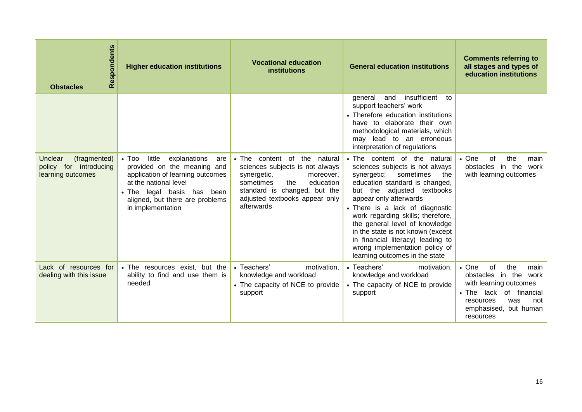| Respondents<br><b>Obstacles</b>                                        | <b>Higher education institutions</b>                                                                                                                                                                                                | <b>Vocational education</b><br><b>institutions</b>                                                                                                                                                           | <b>General education institutions</b>                                                                                                                                                                                                                                                                                                                                                                                                                | <b>Comments referring to</b><br>all stages and types of<br>education institutions                                                                                                               |
|------------------------------------------------------------------------|-------------------------------------------------------------------------------------------------------------------------------------------------------------------------------------------------------------------------------------|--------------------------------------------------------------------------------------------------------------------------------------------------------------------------------------------------------------|------------------------------------------------------------------------------------------------------------------------------------------------------------------------------------------------------------------------------------------------------------------------------------------------------------------------------------------------------------------------------------------------------------------------------------------------------|-------------------------------------------------------------------------------------------------------------------------------------------------------------------------------------------------|
|                                                                        |                                                                                                                                                                                                                                     |                                                                                                                                                                                                              | insufficient<br>and<br>general<br>to<br>support teachers' work<br>• Therefore education institutions<br>have to elaborate their own<br>methodological materials, which<br>may lead to an erroneous<br>interpretation of regulations                                                                                                                                                                                                                  |                                                                                                                                                                                                 |
| (fragmented)<br>Unclear<br>policy for introducing<br>learning outcomes | little<br>explanations<br>$\bullet$ Too<br>are<br>provided on the meaning and<br>application of learning outcomes<br>at the national level<br>• The legal basis<br>has been<br>aligned, but there are problems<br>in implementation | • The content of the natural<br>sciences subjects is not always<br>synergetic,<br>moreover,<br>the<br>sometimes<br>education<br>standard is changed, but the<br>adjusted textbooks appear only<br>afterwards | • The content of the natural<br>sciences subjects is not always<br>synergetic;<br>sometimes<br>the<br>education standard is changed,<br>but the adjusted textbooks<br>appear only afterwards<br>• There is a lack of diagnostic<br>work regarding skills; therefore,<br>the general level of knowledge<br>in the state is not known (except<br>in financial literacy) leading to<br>wrong implementation policy of<br>learning outcomes in the state | $\bullet$ One<br>the<br>οf<br>main<br>obstacles<br>in the<br>work<br>with learning outcomes                                                                                                     |
| Lack of resources for<br>dealing with this issue                       | • The resources exist, but the<br>ability to find and use them is<br>needed                                                                                                                                                         | • Teachers'<br>motivation,<br>knowledge and workload<br>• The capacity of NCE to provide<br>support                                                                                                          | • Teachers'<br>motivation.<br>knowledge and workload<br>• The capacity of NCE to provide<br>support                                                                                                                                                                                                                                                                                                                                                  | $\bullet$ One<br>the<br>οf<br>main<br>obstacles in the<br>work<br>with learning outcomes<br>lack of financial<br>$\bullet$ The<br>resources<br>was<br>not<br>emphasised, but human<br>resources |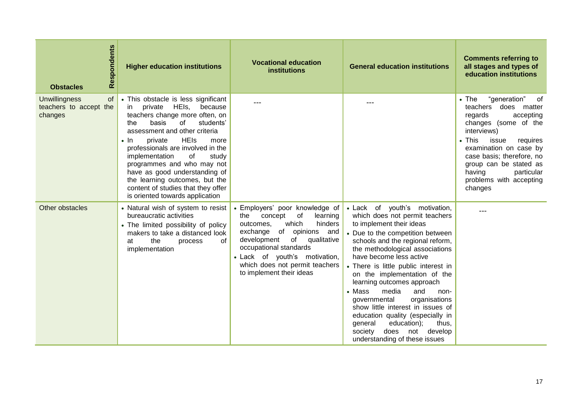| Respondents<br><b>Obstacles</b>                                 | <b>Higher education institutions</b>                                                                                                                                                                                                                                                                                                                                                                                                                                           | <b>Vocational education</b><br><b>institutions</b>                                                                                                                                                                                                                                                    | <b>General education institutions</b>                                                                                                                                                                                                                                                                                                                                                                                                                                                                                                                                                        | <b>Comments referring to</b><br>all stages and types of<br>education institutions                                                                                                                                                                                                                                   |
|-----------------------------------------------------------------|--------------------------------------------------------------------------------------------------------------------------------------------------------------------------------------------------------------------------------------------------------------------------------------------------------------------------------------------------------------------------------------------------------------------------------------------------------------------------------|-------------------------------------------------------------------------------------------------------------------------------------------------------------------------------------------------------------------------------------------------------------------------------------------------------|----------------------------------------------------------------------------------------------------------------------------------------------------------------------------------------------------------------------------------------------------------------------------------------------------------------------------------------------------------------------------------------------------------------------------------------------------------------------------------------------------------------------------------------------------------------------------------------------|---------------------------------------------------------------------------------------------------------------------------------------------------------------------------------------------------------------------------------------------------------------------------------------------------------------------|
| <b>Unwillingness</b><br>of<br>teachers to accept the<br>changes | • This obstacle is less significant<br>HEIs,<br>because<br>in<br>private<br>teachers change more often, on<br>basis<br>of<br>students'<br>the<br>assessment and other criteria<br><b>HEIs</b><br>private<br>$\cdot$ In<br>more<br>professionals are involved in the<br>implementation<br>of<br>study<br>programmes and who may not<br>have as good understanding of<br>the learning outcomes, but the<br>content of studies that they offer<br>is oriented towards application |                                                                                                                                                                                                                                                                                                       |                                                                                                                                                                                                                                                                                                                                                                                                                                                                                                                                                                                              | $\bullet$ The<br>"generation"<br>of<br>teachers<br>does matter<br>accepting<br>regards<br>changes (some of the<br>interviews)<br>$\bullet$ This<br>issue<br>requires<br>examination on case by<br>case basis; therefore, no<br>group can be stated as<br>having<br>particular<br>problems with accepting<br>changes |
| Other obstacles                                                 | • Natural wish of system to resist<br>bureaucratic activities<br>• The limited possibility of policy<br>makers to take a distanced look<br>the<br>of<br>at<br>process<br>implementation                                                                                                                                                                                                                                                                                        | • Employers' poor knowledge of<br>concept<br>of<br>learning<br>the<br>hinders<br>which<br>outcomes.<br>of<br>opinions<br>exchange<br>and<br>development<br>of<br>qualitative<br>occupational standards<br>· Lack of youth's motivation,<br>which does not permit teachers<br>to implement their ideas | · Lack of youth's motivation,<br>which does not permit teachers<br>to implement their ideas<br>• Due to the competition between<br>schools and the regional reform,<br>the methodological associations<br>have become less active<br>• There is little public interest in<br>on the implementation of the<br>learning outcomes approach<br>• Mass<br>media<br>and<br>non-<br>governmental<br>organisations<br>show little interest in issues of<br>education quality (especially in<br>education);<br>general<br>thus,<br>society<br>does<br>not<br>develop<br>understanding of these issues | ---                                                                                                                                                                                                                                                                                                                 |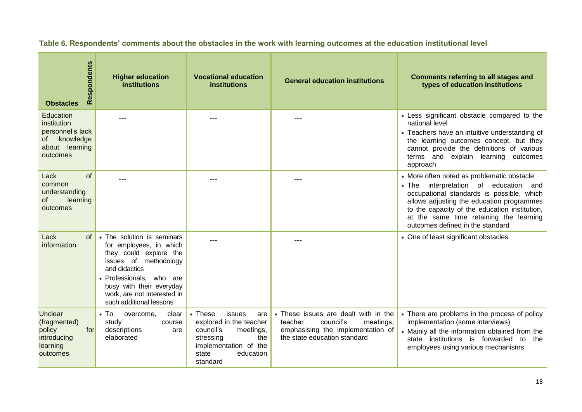| Respondents<br><b>Obstacles</b>                                                               | <b>Higher education</b><br><b>institutions</b>                                                                                                                                                                                              | <b>Vocational education</b><br><b>institutions</b>                                                                                                                   | <b>General education institutions</b>                                                                                                          | <b>Comments referring to all stages and</b><br>types of education institutions                                                                                                                                                                                                                                |
|-----------------------------------------------------------------------------------------------|---------------------------------------------------------------------------------------------------------------------------------------------------------------------------------------------------------------------------------------------|----------------------------------------------------------------------------------------------------------------------------------------------------------------------|------------------------------------------------------------------------------------------------------------------------------------------------|---------------------------------------------------------------------------------------------------------------------------------------------------------------------------------------------------------------------------------------------------------------------------------------------------------------|
| Education<br>institution<br>personnel's lack<br>knowledge<br>of<br>about learning<br>outcomes |                                                                                                                                                                                                                                             |                                                                                                                                                                      |                                                                                                                                                | • Less significant obstacle compared to the<br>national level<br>• Teachers have an intuitive understanding of<br>the learning outcomes concept, but they<br>cannot provide the definitions of various<br>terms and explain learning outcomes<br>approach                                                     |
| of<br>Lack<br>common<br>understanding<br>learning<br>of<br>outcomes                           | ---                                                                                                                                                                                                                                         |                                                                                                                                                                      |                                                                                                                                                | • More often noted as problematic obstacle<br>• The interpretation of education and<br>occupational standards is possible, which<br>allows adjusting the education programmes<br>to the capacity of the education institution,<br>at the same time retaining the learning<br>outcomes defined in the standard |
| Lack<br>of<br>information                                                                     | • The solution is seminars<br>for employees, in which<br>they could explore the<br>issues of methodology<br>and didactics<br>· Professionals, who are<br>busy with their everyday<br>work, are not interested in<br>such additional lessons |                                                                                                                                                                      |                                                                                                                                                | • One of least significant obstacles                                                                                                                                                                                                                                                                          |
| Unclear<br>(fragmented)<br>for<br>policy<br>introducing<br>learning<br>outcomes               | $\bullet$ To<br>overcome,<br>clear<br>study<br>course<br>descriptions<br>are<br>elaborated                                                                                                                                                  | $\bullet$ These<br>issues<br>are<br>explored in the teacher<br>council's<br>meetings,<br>the<br>stressing<br>implementation of the<br>state<br>education<br>standard | • These issues are dealt with in the<br>council's<br>teacher<br>meetings,<br>emphasising the implementation of<br>the state education standard | • There are problems in the process of policy<br>implementation (some interviews)<br>• Mainly all the information obtained from the<br>state institutions is forwarded to<br>the<br>employees using various mechanisms                                                                                        |

## **Table 6. Respondents' comments about the obstacles in the work with learning outcomes at the education institutional level**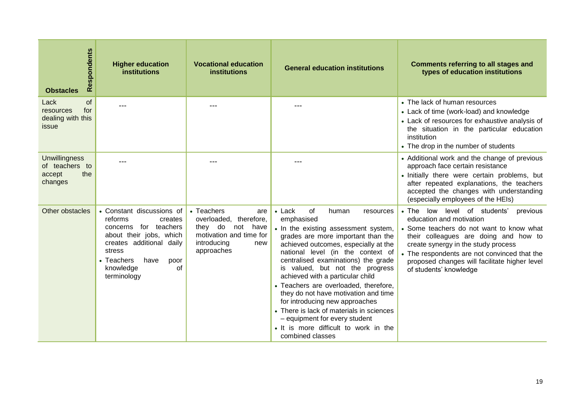| Respondents<br><b>Obstacles</b>                                    | <b>Higher education</b><br><b>institutions</b>                                                                                                                                                            | <b>Vocational education</b><br><b>institutions</b>                                                                                   | <b>General education institutions</b>                                                                                                                                                                                                                                                                                                                                                                                                                                                                                                                                                          | <b>Comments referring to all stages and</b><br>types of education institutions                                                                                                                                                                                                                                              |
|--------------------------------------------------------------------|-----------------------------------------------------------------------------------------------------------------------------------------------------------------------------------------------------------|--------------------------------------------------------------------------------------------------------------------------------------|------------------------------------------------------------------------------------------------------------------------------------------------------------------------------------------------------------------------------------------------------------------------------------------------------------------------------------------------------------------------------------------------------------------------------------------------------------------------------------------------------------------------------------------------------------------------------------------------|-----------------------------------------------------------------------------------------------------------------------------------------------------------------------------------------------------------------------------------------------------------------------------------------------------------------------------|
| of<br>Lack<br>for<br>resources<br>dealing with this<br>issue       | ---                                                                                                                                                                                                       |                                                                                                                                      | ---                                                                                                                                                                                                                                                                                                                                                                                                                                                                                                                                                                                            | • The lack of human resources<br>• Lack of time (work-load) and knowledge<br>• Lack of resources for exhaustive analysis of<br>the situation in the particular education<br>institution<br>• The drop in the number of students                                                                                             |
| <b>Unwillingness</b><br>of teachers to<br>the<br>accept<br>changes | ---                                                                                                                                                                                                       |                                                                                                                                      | ---                                                                                                                                                                                                                                                                                                                                                                                                                                                                                                                                                                                            | • Additional work and the change of previous<br>approach face certain resistance<br>· Initially there were certain problems, but<br>after repeated explanations, the teachers<br>accepted the changes with understanding<br>(especially employees of the HEIs)                                                              |
| Other obstacles                                                    | • Constant discussions of<br>reforms<br>creates<br>concerns for teachers<br>about their jobs, which<br>creates additional daily<br>stress<br>• Teachers<br>have<br>poor<br>of<br>knowledge<br>terminology | • Teachers<br>are<br>overloaded, therefore,<br>they do<br>not<br>have<br>motivation and time for<br>introducing<br>new<br>approaches | $\bullet$ Lack<br>of<br>human<br>resources<br>emphasised<br>• In the existing assessment system,<br>grades are more important than the<br>achieved outcomes, especially at the<br>national level (in the context of<br>centralised examinations) the grade<br>is valued, but not the progress<br>achieved with a particular child<br>• Teachers are overloaded, therefore,<br>they do not have motivation and time<br>for introducing new approaches<br>• There is lack of materials in sciences<br>- equipment for every student<br>• It is more difficult to work in the<br>combined classes | • The low level of students'<br>previous<br>education and motivation<br>• Some teachers do not want to know what<br>their colleagues are doing and how to<br>create synergy in the study process<br>• The respondents are not convinced that the<br>proposed changes will facilitate higher level<br>of students' knowledge |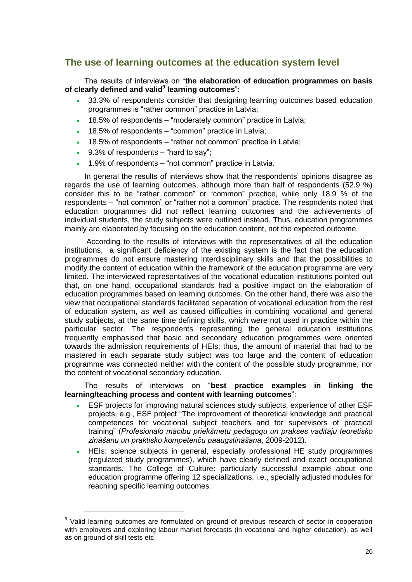## <span id="page-19-0"></span>**The use of learning outcomes at the education system level**

The results of interviews on "**the elaboration of education programmes on basis of clearly defined and valid<sup>9</sup> learning outcomes**":

- 33.3% of respondents consider that designing learning outcomes based education programmes is "rather common" practice in Latvia;
- 18.5% of respondents "moderately common" practice in Latvia;
- 18.5% of respondents "common" practice in Latvia;
- 18.5% of respondents "rather not common" practice in Latvia;
- $\cdot$  9.3% of respondents "hard to say";

-

1.9% of respondents – "not common" practice in Latvia.

In general the results of interviews show that the respondents' opinions disagree as regards the use of learning outcomes, although more than half of respondents (52.9 %) consider this to be "rather common" or "common" practice, while only 18.9 % of the respondents – "not common" or "rather not a common" practice. The respndents noted that education programmes did not reflect learning outcomes and the achievements of individual students, the study subjects were outlined instead. Thus, education programmes mainly are elaborated by focusing on the education content, not the expected outcome.

According to the results of interviews with the representatives of all the education institutions, a significant deficiency of the existing system is the fact that the education programmes do not ensure mastering interdisciplinary skills and that the possibilities to modify the content of education within the framework of the education programme are very limited. The interviewed representatives of the vocational education institutions pointed out that, on one hand, occupational standards had a positive impact on the elaboration of education programmes based on learning outcomes. On the other hand, there was also the view that occupational standards facilitated separation of vocational education from the rest of education system, as well as caused difficulties in combining vocational and general study subjects, at the same time defining skills, which were not used in practice within the particular sector. The respondents representing the general education institutions frequently emphasised that basic and secondary education programmes were oriented towards the admission requirements of HEIs; thus, the amount of material that had to be mastered in each separate study subject was too large and the content of education programme was connected neither with the content of the possible study programme, nor the content of vocational secondary education.

### The results of interviews on "**best practice examples in linking the learning/teaching process and content with learning outcomes**":

- ESF projects for improving natural sciences study subjects, experience of other ESF projects, e.g., ESF project "The improvement of theoretical knowledge and practical competences for vocational subject teachers and for supervisors of practical training" (*Profesionālo mācību priekšmetu pedagogu un prakses vadītāju teorētisko zināšanu un praktisko kompetenču paaugstināšana*, 2009-2012).
- HEIs: science subjects in general, especially professional HE study programmes (regulated study programmes), which have clearly defined and exact occupational standards. The College of Culture: particularly successful example about one education programme offering 12 specializations, i.e., specially adjusted modules for reaching specific learning outcomes.

<sup>&</sup>lt;sup>9</sup> Valid learning outcomes are formulated on ground of previous research of sector in cooperation with employers and exploring labour market forecasts (in vocational and higher education), as well as on ground of skill tests etc.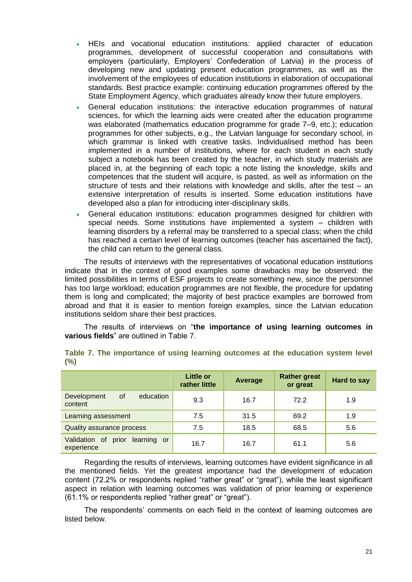- HEIs and vocational education institutions: applied character of education programmes, development of successful cooperation and consultations with employers (particularly, Employers' Confederation of Latvia) in the process of developing new and updating present education programmes, as well as the involvement of the employees of education institutions in elaboration of occupational standards. Best practice example: continuing education programmes offered by the State Employment Agency, which graduates already know their future employers.
- General education institutions: the interactive education programmes of natural sciences, for which the learning aids were created after the education programme was elaborated (mathematics education programme for grade 7–9, etc.); education programmes for other subjects, e.g., the Latvian language for secondary school, in which grammar is linked with creative tasks. Individualised method has been implemented in a number of institutions, where for each student in each study subject a notebook has been created by the teacher, in which study materials are placed in, at the beginning of each topic a note listing the knowledge, skills and competences that the student will acquire, is pasted, as well as information on the structure of tests and their relations with knowledge and skills, after the test – an extensive interpretation of results is inserted. Some education institutions have developed also a plan for introducing inter-disciplinary skills.
- General education institutions: education programmes designed for children with special needs. Some institutions have implemented a system – children with learning disorders by a referral may be transferred to a special class; when the child has reached a certain level of learning outcomes (teacher has ascertained the fact), the child can return to the general class.

The results of interviews with the representatives of vocational education institutions indicate that in the context of good examples some drawbacks may be observed: the limited possibilities in terms of ESF projects to create something new, since the personnel has too large workload; education programmes are not flexible, the procedure for updating them is long and complicated; the majority of best practice examples are borrowed from abroad and that it is easier to mention foreign examples, since the Latvian education institutions seldom share their best practices.

The results of interviews on "**the importance of using learning outcomes in various fields**" are outlined in Table 7.

|                                                        | <b>Little or</b><br>rather little | Average | <b>Rather great</b><br>or great | <b>Hard to say</b> |
|--------------------------------------------------------|-----------------------------------|---------|---------------------------------|--------------------|
| education<br>Development<br><b>of</b><br>content       | 9.3                               | 16.7    | 72.2                            | 1.9                |
| <b>Learning assessment</b>                             | 7.5                               | 31.5    | 69.2                            | 1.9                |
| Quality assurance process                              | 7.5                               | 18.5    | 68.5                            | 5.6                |
| Validation<br>0f<br>learning or<br>prior<br>experience | 16.7                              | 16.7    | 61.1                            | 5.6                |

**Table 7. The importance of using learning outcomes at the education system level (%)**

Regarding the results of interviews, learning outcomes have evident significance in all the mentioned fields. Yet the greatest importance had the development of education content (72.2% or respondents replied "rather great" or "great"), while the least significant aspect in relation with learning outcomes was validation of prior learning or experience (61.1% or respondents replied "rather great" or "great").

The respondents' comments on each field in the context of learning outcomes are listed below.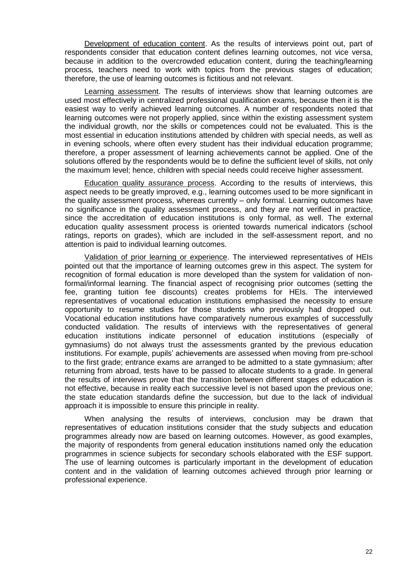Development of education content. As the results of interviews point out, part of respondents consider that education content defines learning outcomes, not vice versa, because in addition to the overcrowded education content, during the teaching/learning process, teachers need to work with topics from the previous stages of education; therefore, the use of learning outcomes is fictitious and not relevant.

Learning assessment. The results of interviews show that learning outcomes are used most effectively in centralized professional qualification exams, because then it is the easiest way to verify achieved learning outcomes. A number of respondents noted that learning outcomes were not properly applied, since within the existing assessment system the individual growth, nor the skills or competences could not be evaluated. This is the most essential in education institutions attended by children with special needs, as well as in evening schools, where often every student has their individual education programme; therefore, a proper assessment of learning achievements cannot be applied. One of the solutions offered by the respondents would be to define the sufficient level of skills, not only the maximum level; hence, children with special needs could receive higher assessment.

Education quality assurance process. According to the results of interviews, this aspect needs to be greatly improved, e.g., learning outcomes used to be more significant in the quality assessment process, whereas currently – only formal. Learning outcomes have no significance in the quality assessment process, and they are not verified in practice, since the accreditation of education institutions is only formal, as well. The external education quality assessment process is oriented towards numerical indicators (school ratings, reports on grades), which are included in the self-assessment report, and no attention is paid to individual learning outcomes.

Validation of prior learning or experience. The interviewed representatives of HEIs pointed out that the importance of learning outcomes grew in this aspect. The system for recognition of formal education is more developed than the system for validation of nonformal/informal learning. The financial aspect of recognising prior outcomes (setting the fee, granting tuition fee discounts) creates problems for HEIs. The interviewed representatives of vocational education institutions emphasised the necessity to ensure opportunity to resume studies for those students who previously had dropped out. Vocational education institutions have comparatively numerous examples of successfully conducted validation. The results of interviews with the representatives of general education institutions indicate personnel of education institutions (especially of gymnasiums) do not always trust the assessments granted by the previous education institutions. For example, pupils' achievements are assessed when moving from pre-school to the first grade; entrance exams are arranged to be admitted to a state gymnasium; after returning from abroad, tests have to be passed to allocate students to a grade. In general the results of interviews prove that the transition between different stages of education is not effective, because in reality each successive level is not based upon the previous one; the state education standards define the succession, but due to the lack of individual approach it is impossible to ensure this principle in reality.

When analysing the results of interviews, conclusion may be drawn that representatives of education institutions consider that the study subjects and education programmes already now are based on learning outcomes. However, as good examples, the majority of respondents from general education institutions named only the education programmes in science subjects for secondary schools elaborated with the ESF support. The use of learning outcomes is particularly important in the development of education content and in the validation of learning outcomes achieved through prior learning or professional experience.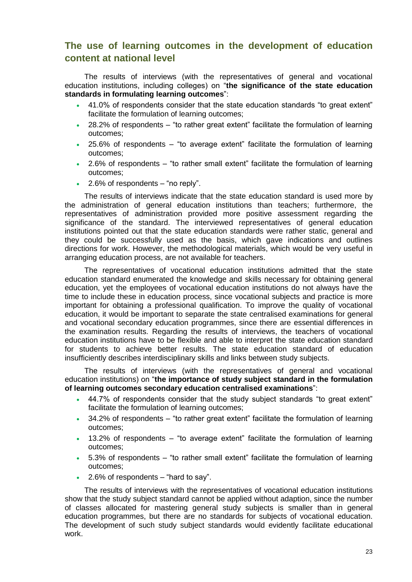## <span id="page-22-0"></span>**The use of learning outcomes in the development of education content at national level**

The results of interviews (with the representatives of general and vocational education institutions, including colleges) on "**the significance of the state education standards in formulating learning outcomes**":

- 41.0% of respondents consider that the state education standards "to great extent" facilitate the formulation of learning outcomes;
- 28.2% of respondents "to rather great extent" facilitate the formulation of learning outcomes;
- 25.6% of respondents "to average extent" facilitate the formulation of learning outcomes;
- 2.6% of respondents "to rather small extent" facilitate the formulation of learning outcomes;
- $\cdot$  2.6% of respondents "no reply".

The results of interviews indicate that the state education standard is used more by the administration of general education institutions than teachers; furthermore, the representatives of administration provided more positive assessment regarding the significance of the standard. The interviewed representatives of general education institutions pointed out that the state education standards were rather static, general and they could be successfully used as the basis, which gave indications and outlines directions for work. However, the methodological materials, which would be very useful in arranging education process, are not available for teachers.

The representatives of vocational education institutions admitted that the state education standard enumerated the knowledge and skills necessary for obtaining general education, yet the employees of vocational education institutions do not always have the time to include these in education process, since vocational subjects and practice is more important for obtaining a professional qualification. To improve the quality of vocational education, it would be important to separate the state centralised examinations for general and vocational secondary education programmes, since there are essential differences in the examination results. Regarding the results of interviews, the teachers of vocational education institutions have to be flexible and able to interpret the state education standard for students to achieve better results. The state education standard of education insufficiently describes interdisciplinary skills and links between study subjects.

The results of interviews (with the representatives of general and vocational education institutions) on "**the importance of study subject standard in the formulation of learning outcomes secondary education centralised examinations**":

- 44.7% of respondents consider that the study subject standards "to great extent" facilitate the formulation of learning outcomes;
- 34.2% of respondents "to rather great extent" facilitate the formulation of learning outcomes;
- 13.2% of respondents "to average extent" facilitate the formulation of learning outcomes;
- 5.3% of respondents "to rather small extent" facilitate the formulation of learning outcomes;
- $\cdot$  2.6% of respondents "hard to say".

The results of interviews with the representatives of vocational education institutions show that the study subject standard cannot be applied without adaption, since the number of classes allocated for mastering general study subjects is smaller than in general education programmes, but there are no standards for subjects of vocational education. The development of such study subject standards would evidently facilitate educational work.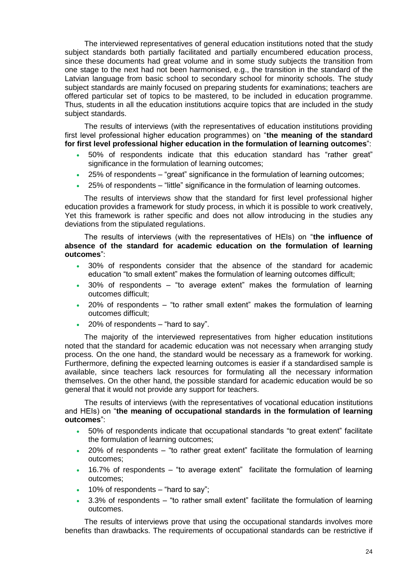The interviewed representatives of general education institutions noted that the study subject standards both partially facilitated and partially encumbered education process, since these documents had great volume and in some study subjects the transition from one stage to the next had not been harmonised, e.g., the transition in the standard of the Latvian language from basic school to secondary school for minority schools. The study subject standards are mainly focused on preparing students for examinations; teachers are offered particular set of topics to be mastered, to be included in education programme. Thus, students in all the education institutions acquire topics that are included in the study subject standards.

The results of interviews (with the representatives of education institutions providing first level professional higher education programmes) on "**the meaning of the standard for first level professional higher education in the formulation of learning outcomes**":

- 50% of respondents indicate that this education standard has "rather great" significance in the formulation of learning outcomes;
- 25% of respondents "great" significance in the formulation of learning outcomes;
- 25% of respondents "little" significance in the formulation of learning outcomes.

The results of interviews show that the standard for first level professional higher education provides a framework for study process, in which it is possible to work creatively, Yet this framework is rather specific and does not allow introducing in the studies any deviations from the stipulated regulations.

The results of interviews (with the representatives of HEIs) on "**the influence of absence of the standard for academic education on the formulation of learning outcomes**":

- 30% of respondents consider that the absence of the standard for academic education "to small extent" makes the formulation of learning outcomes difficult;
- 30% of respondents "to average extent" makes the formulation of learning outcomes difficult;
- 20% of respondents "to rather small extent" makes the formulation of learning outcomes difficult;
- 20% of respondents "hard to say".

The majority of the interviewed representatives from higher education institutions noted that the standard for academic education was not necessary when arranging study process. On the one hand, the standard would be necessary as a framework for working. Furthermore, defining the expected learning outcomes is easier if a standardised sample is available, since teachers lack resources for formulating all the necessary information themselves. On the other hand, the possible standard for academic education would be so general that it would not provide any support for teachers.

The results of interviews (with the representatives of vocational education institutions and HEIs) on "**the meaning of occupational standards in the formulation of learning outcomes**":

- 50% of respondents indicate that occupational standards "to great extent" facilitate the formulation of learning outcomes;
- 20% of respondents "to rather great extent" facilitate the formulation of learning outcomes;
- 16.7% of respondents "to average extent" facilitate the formulation of learning outcomes;
- 10% of respondents "hard to say";
- 3.3% of respondents "to rather small extent" facilitate the formulation of learning outcomes.

The results of interviews prove that using the occupational standards involves more benefits than drawbacks. The requirements of occupational standards can be restrictive if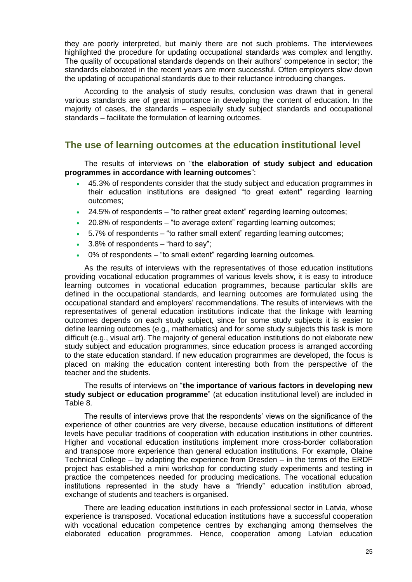they are poorly interpreted, but mainly there are not such problems. The interviewees highlighted the procedure for updating occupational standards was complex and lengthy. The quality of occupational standards depends on their authors' competence in sector; the standards elaborated in the recent years are more successful. Often employers slow down the updating of occupational standards due to their reluctance introducing changes.

According to the analysis of study results, conclusion was drawn that in general various standards are of great importance in developing the content of education. In the majority of cases, the standards – especially study subject standards and occupational standards – facilitate the formulation of learning outcomes.

## <span id="page-24-0"></span>**The use of learning outcomes at the education institutional level**

The results of interviews on "**the elaboration of study subject and education programmes in accordance with learning outcomes**":

- 45.3% of respondents consider that the study subject and education programmes in their education institutions are designed "to great extent" regarding learning outcomes;
- 24.5% of respondents "to rather great extent" regarding learning outcomes;
- 20.8% of respondents "to average extent" regarding learning outcomes;
- 5.7% of respondents "to rather small extent" regarding learning outcomes;
- 3.8% of respondents "hard to say";
- 0% of respondents "to small extent" regarding learning outcomes.

As the results of interviews with the representatives of those education institutions providing vocational education programmes of various levels show, it is easy to introduce learning outcomes in vocational education programmes, because particular skills are defined in the occupational standards, and learning outcomes are formulated using the occupational standard and employers' recommendations. The results of interviews with the representatives of general education institutions indicate that the linkage with learning outcomes depends on each study subject, since for some study subjects it is easier to define learning outcomes (e.g., mathematics) and for some study subjects this task is more difficult (e.g., visual art). The majority of general education institutions do not elaborate new study subject and education programmes, since education process is arranged according to the state education standard. If new education programmes are developed, the focus is placed on making the education content interesting both from the perspective of the teacher and the students.

The results of interviews on "**the importance of various factors in developing new study subject or education programme**" (at education institutional level) are included in Table 8.

The results of interviews prove that the respondents' views on the significance of the experience of other countries are very diverse, because education institutions of different levels have peculiar traditions of cooperation with education institutions in other countries. Higher and vocational education institutions implement more cross-border collaboration and transpose more experience than general education institutions. For example, Olaine Technical College – by adapting the experience from Dresden – in the terms of the ERDF project has established a mini workshop for conducting study experiments and testing in practice the competences needed for producing medications. The vocational education institutions represented in the study have a "friendly" education institution abroad, exchange of students and teachers is organised.

There are leading education institutions in each professional sector in Latvia, whose experience is transposed. Vocational education institutions have a successful cooperation with vocational education competence centres by exchanging among themselves the elaborated education programmes. Hence, cooperation among Latvian education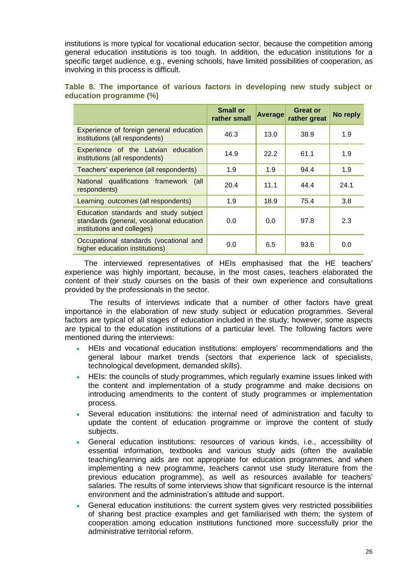institutions is more typical for vocational education sector, because the competition among general education institutions is too tough. In addition, the education institutions for a specific target audience, e.g., evening schools, have limited possibilities of cooperation, as involving in this process is difficult.

|                                                                                                                 | <b>Small or</b><br>rather small | <b>Average</b> | <b>Great or</b><br>rather great | No reply |
|-----------------------------------------------------------------------------------------------------------------|---------------------------------|----------------|---------------------------------|----------|
| Experience of foreign general education<br>institutions (all respondents)                                       | 46.3                            | 13.0           | 38.9                            | 1.9      |
| Experience of the Latvian education<br>institutions (all respondents)                                           | 14.9                            | 22.2           | 61.1                            | 1.9      |
| Teachers' experience (all respondents)                                                                          | 1.9                             | 1.9            | 94.4                            | 1.9      |
| National qualifications framework<br>(all<br>respondents)                                                       | 20.4                            | 11.1           | 44.4                            | 24.1     |
| Learning outcomes (all respondents)                                                                             | 1.9                             | 18.9           | 75.4                            | 3.8      |
| Education standards and study subject<br>standards (general, vocational education<br>institutions and colleges) | 0.0                             | 0.0            | 97.8                            | 2.3      |
| Occupational standards (vocational and<br>higher education institutions)                                        | 0.0                             | 6.5            | 93.6                            | 0.0      |

## **Table 8. The importance of various factors in developing new study subject or education programme (%)**

The interviewed representatives of HEIs emphasised that the HE teachers' experience was highly important, because, in the most cases, teachers elaborated the content of their study courses on the basis of their own experience and consultations provided by the professionals in the sector.

The results of interviews indicate that a number of other factors have great importance in the elaboration of new study subject or education programmes. Several factors are typical of all stages of education included in the study; however, some aspects are typical to the education institutions of a particular level. The following factors were mentioned during the interviews:

- HEIs and vocational education institutions: employers' recommendations and the general labour market trends (sectors that experience lack of specialists, technological development, demanded skills).
- HEIs: the councils of study programmes, which regularly examine issues linked with the content and implementation of a study programme and make decisions on introducing amendments to the content of study programmes or implementation process.
- Several education institutions: the internal need of administration and faculty to update the content of education programme or improve the content of study subjects.
- General education institutions: resources of various kinds, i.e., accessibility of essential information, textbooks and various study aids (often the available teaching/learning aids are not appropriate for education programmes, and when implementing a new programme, teachers cannot use study literature from the previous education programme), as well as resources available for teachers' salaries. The results of some interviews show that significant resource is the internal environment and the administration's attitude and support.
- General education institutions: the current system gives very restricted possibilities of sharing best practice examples and get familiarised with them; the system of cooperation among education institutions functioned more successfully prior the administrative territorial reform.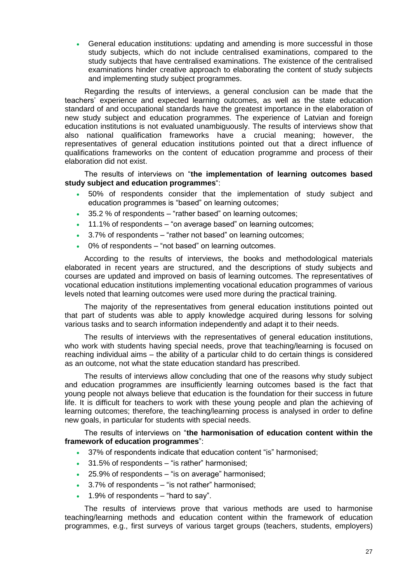General education institutions: updating and amending is more successful in those study subjects, which do not include centralised examinations, compared to the study subjects that have centralised examinations. The existence of the centralised examinations hinder creative approach to elaborating the content of study subjects and implementing study subject programmes.

Regarding the results of interviews, a general conclusion can be made that the teachers' experience and expected learning outcomes, as well as the state education standard of and occupational standards have the greatest importance in the elaboration of new study subject and education programmes. The experience of Latvian and foreign education institutions is not evaluated unambiguously. The results of interviews show that also national qualification frameworks have a crucial meaning; however, the representatives of general education institutions pointed out that a direct influence of qualifications frameworks on the content of education programme and process of their elaboration did not exist.

The results of interviews on "**the implementation of learning outcomes based study subject and education programmes**":

- 50% of respondents consider that the implementation of study subject and education programmes is "based" on learning outcomes;
- 35.2 % of respondents "rather based" on learning outcomes;
- 11.1% of respondents "on average based" on learning outcomes;
- 3.7% of respondents "rather not based" on learning outcomes;
- 0% of respondents "not based" on learning outcomes.

According to the results of interviews, the books and methodological materials elaborated in recent years are structured, and the descriptions of study subjects and courses are updated and improved on basis of learning outcomes. The representatives of vocational education institutions implementing vocational education programmes of various levels noted that learning outcomes were used more during the practical training.

The majority of the representatives from general education institutions pointed out that part of students was able to apply knowledge acquired during lessons for solving various tasks and to search information independently and adapt it to their needs.

The results of interviews with the representatives of general education institutions, who work with students having special needs, prove that teaching/learning is focused on reaching individual aims – the ability of a particular child to do certain things is considered as an outcome, not what the state education standard has prescribed.

The results of interviews allow concluding that one of the reasons why study subject and education programmes are insufficiently learning outcomes based is the fact that young people not always believe that education is the foundation for their success in future life. It is difficult for teachers to work with these young people and plan the achieving of learning outcomes; therefore, the teaching/learning process is analysed in order to define new goals, in particular for students with special needs.

The results of interviews on "**the harmonisation of education content within the framework of education programmes**":

- 37% of respondents indicate that education content "is" harmonised;
- 31.5% of respondents "is rather" harmonised;
- 25.9% of respondents "is on average" harmonised;
- 3.7% of respondents "is not rather" harmonised;
- 1.9% of respondents "hard to say".

The results of interviews prove that various methods are used to harmonise teaching/learning methods and education content within the framework of education programmes, e.g., first surveys of various target groups (teachers, students, employers)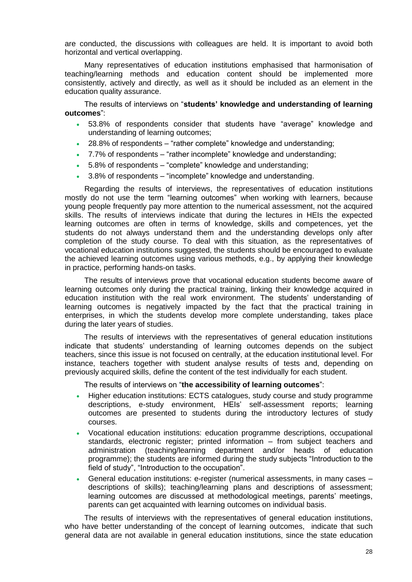are conducted, the discussions with colleagues are held. It is important to avoid both horizontal and vertical overlapping.

Many representatives of education institutions emphasised that harmonisation of teaching/learning methods and education content should be implemented more consistently, actively and directly, as well as it should be included as an element in the education quality assurance.

The results of interviews on "**students' knowledge and understanding of learning outcomes**":

- 53.8% of respondents consider that students have "average" knowledge and understanding of learning outcomes;
- 28.8% of respondents "rather complete" knowledge and understanding;
- 7.7% of respondents "rather incomplete" knowledge and understanding;
- 5.8% of respondents "complete" knowledge and understanding;
- 3.8% of respondents "incomplete" knowledge and understanding.

Regarding the results of interviews, the representatives of education institutions mostly do not use the term "learning outcomes" when working with learners, because young people frequently pay more attention to the numerical assessment, not the acquired skills. The results of interviews indicate that during the lectures in HEIs the expected learning outcomes are often in terms of knowledge, skills and competences, yet the students do not always understand them and the understanding develops only after completion of the study course. To deal with this situation, as the representatives of vocational education institutions suggested, the students should be encouraged to evaluate the achieved learning outcomes using various methods, e.g., by applying their knowledge in practice, performing hands-on tasks.

The results of interviews prove that vocational education students become aware of learning outcomes only during the practical training, linking their knowledge acquired in education institution with the real work environment. The students' understanding of learning outcomes is negatively impacted by the fact that the practical training in enterprises, in which the students develop more complete understanding, takes place during the later years of studies.

The results of interviews with the representatives of general education institutions indicate that students' understanding of learning outcomes depends on the subject teachers, since this issue is not focused on centrally, at the education institutional level. For instance, teachers together with student analyse results of tests and, depending on previously acquired skills, define the content of the test individually for each student.

The results of interviews on "**the accessibility of learning outcomes**":

- Higher education institutions: ECTS catalogues, study course and study programme descriptions, e-study environment, HEIs' self-assessment reports; learning outcomes are presented to students during the introductory lectures of study courses.
- Vocational education institutions: education programme descriptions, occupational standards, electronic register; printed information – from subject teachers and administration (teaching/learning department and/or heads of education programme); the students are informed during the study subjects "Introduction to the field of study", "Introduction to the occupation".
- General education institutions: e-register (numerical assessments, in many cases descriptions of skills); teaching/learning plans and descriptions of assessment; learning outcomes are discussed at methodological meetings, parents' meetings, parents can get acquainted with learning outcomes on individual basis.

The results of interviews with the representatives of general education institutions, who have better understanding of the concept of learning outcomes, indicate that such general data are not available in general education institutions, since the state education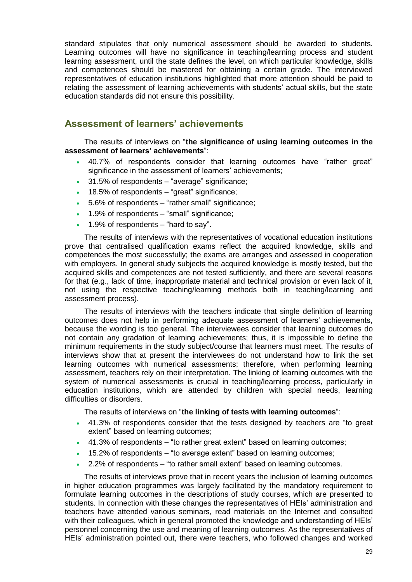standard stipulates that only numerical assessment should be awarded to students. Learning outcomes will have no significance in teaching/learning process and student learning assessment, until the state defines the level, on which particular knowledge, skills and competences should be mastered for obtaining a certain grade. The interviewed representatives of education institutions highlighted that more attention should be paid to relating the assessment of learning achievements with students' actual skills, but the state education standards did not ensure this possibility.

## <span id="page-28-0"></span>**Assessment of learners' achievements**

The results of interviews on "**the significance of using learning outcomes in the assessment of learners' achievements**":

- 40.7% of respondents consider that learning outcomes have "rather great" significance in the assessment of learners' achievements;
- 31.5% of respondents "average" significance;
- 18.5% of respondents "great" significance;
- 5.6% of respondents "rather small" significance;
- 1.9% of respondents "small" significance;
- 1.9% of respondents "hard to say".

The results of interviews with the representatives of vocational education institutions prove that centralised qualification exams reflect the acquired knowledge, skills and competences the most successfully; the exams are arranges and assessed in cooperation with employers. In general study subjects the acquired knowledge is mostly tested, but the acquired skills and competences are not tested sufficiently, and there are several reasons for that (e.g., lack of time, inappropriate material and technical provision or even lack of it, not using the respective teaching/learning methods both in teaching/learning and assessment process).

The results of interviews with the teachers indicate that single definition of learning outcomes does not help in performing adequate assessment of learners' achievements, because the wording is too general. The interviewees consider that learning outcomes do not contain any gradation of learning achievements; thus, it is impossible to define the minimum requirements in the study subject/course that learners must meet. The results of interviews show that at present the interviewees do not understand how to link the set learning outcomes with numerical assessments; therefore, when performing learning assessment, teachers rely on their interpretation. The linking of learning outcomes with the system of numerical assessments is crucial in teaching/learning process, particularly in education institutions, which are attended by children with special needs, learning difficulties or disorders.

The results of interviews on "**the linking of tests with learning outcomes**":

- 41.3% of respondents consider that the tests designed by teachers are "to great extent" based on learning outcomes;
- 41.3% of respondents "to rather great extent" based on learning outcomes;
- 15.2% of respondents "to average extent" based on learning outcomes;
- 2.2% of respondents "to rather small extent" based on learning outcomes.

The results of interviews prove that in recent years the inclusion of learning outcomes in higher education programmes was largely facilitated by the mandatory requirement to formulate learning outcomes in the descriptions of study courses, which are presented to students. In connection with these changes the representatives of HEIs' administration and teachers have attended various seminars, read materials on the Internet and consulted with their colleagues, which in general promoted the knowledge and understanding of HEIs' personnel concerning the use and meaning of learning outcomes. As the representatives of HEIs' administration pointed out, there were teachers, who followed changes and worked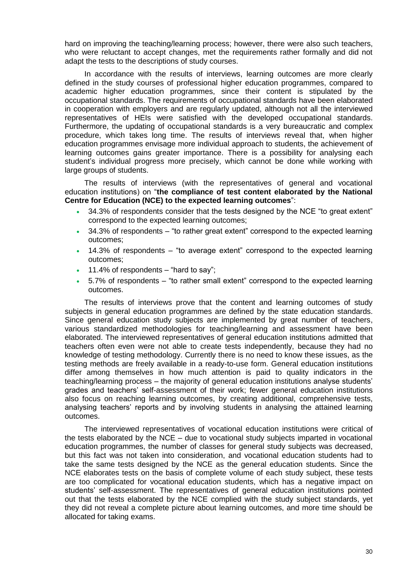hard on improving the teaching/learning process; however, there were also such teachers, who were reluctant to accept changes, met the requirements rather formally and did not adapt the tests to the descriptions of study courses.

In accordance with the results of interviews, learning outcomes are more clearly defined in the study courses of professional higher education programmes, compared to academic higher education programmes, since their content is stipulated by the occupational standards. The requirements of occupational standards have been elaborated in cooperation with employers and are regularly updated, although not all the interviewed representatives of HEIs were satisfied with the developed occupational standards. Furthermore, the updating of occupational standards is a very bureaucratic and complex procedure, which takes long time. The results of interviews reveal that, when higher education programmes envisage more individual approach to students, the achievement of learning outcomes gains greater importance. There is a possibility for analysing each student's individual progress more precisely, which cannot be done while working with large groups of students.

The results of interviews (with the representatives of general and vocational education institutions) on "**the compliance of test content elaborated by the National Centre for Education (NCE) to the expected learning outcomes**":

- 34.3% of respondents consider that the tests designed by the NCE "to great extent" correspond to the expected learning outcomes;
- 34.3% of respondents "to rather great extent" correspond to the expected learning outcomes;
- 14.3% of respondents "to average extent" correspond to the expected learning outcomes;
- 11.4% of respondents "hard to say";
- 5.7% of respondents "to rather small extent" correspond to the expected learning outcomes.

The results of interviews prove that the content and learning outcomes of study subjects in general education programmes are defined by the state education standards. Since general education study subjects are implemented by great number of teachers, various standardized methodologies for teaching/learning and assessment have been elaborated. The interviewed representatives of general education institutions admitted that teachers often even were not able to create tests independently, because they had no knowledge of testing methodology. Currently there is no need to know these issues, as the testing methods are freely available in a ready-to-use form. General education institutions differ among themselves in how much attention is paid to quality indicators in the teaching/learning process – the majority of general education institutions analyse students' grades and teachers' self-assessment of their work; fewer general education institutions also focus on reaching learning outcomes, by creating additional, comprehensive tests, analysing teachers' reports and by involving students in analysing the attained learning outcomes.

The interviewed representatives of vocational education institutions were critical of the tests elaborated by the NCE – due to vocational study subjects imparted in vocational education programmes, the number of classes for general study subjects was decreased, but this fact was not taken into consideration, and vocational education students had to take the same tests designed by the NCE as the general education students. Since the NCE elaborates tests on the basis of complete volume of each study subject, these tests are too complicated for vocational education students, which has a negative impact on students' self-assessment. The representatives of general education institutions pointed out that the tests elaborated by the NCE complied with the study subject standards, yet they did not reveal a complete picture about learning outcomes, and more time should be allocated for taking exams.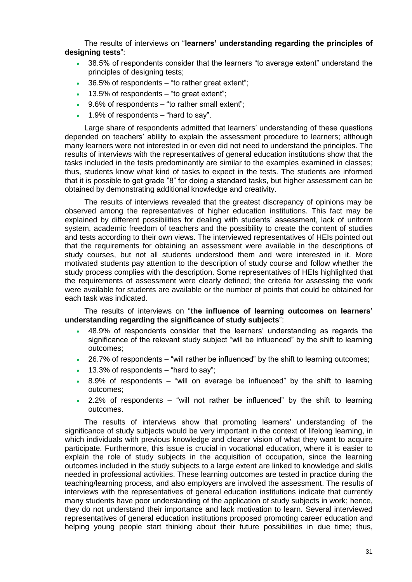The results of interviews on "**learners' understanding regarding the principles of designing tests**":

- 38.5% of respondents consider that the learners "to average extent" understand the principles of designing tests;
- 36.5% of respondents "to rather great extent";
- 13.5% of respondents "to great extent";
- 9.6% of respondents "to rather small extent";
- 1.9% of respondents "hard to say".

Large share of respondents admitted that learners' understanding of these questions depended on teachers' ability to explain the assessment procedure to learners; although many learners were not interested in or even did not need to understand the principles. The results of interviews with the representatives of general education institutions show that the tasks included in the tests predominantly are similar to the examples examined in classes; thus, students know what kind of tasks to expect in the tests. The students are informed that it is possible to get grade "8" for doing a standard tasks, but higher assessment can be obtained by demonstrating additional knowledge and creativity.

The results of interviews revealed that the greatest discrepancy of opinions may be observed among the representatives of higher education institutions. This fact may be explained by different possibilities for dealing with students' assessment, lack of uniform system, academic freedom of teachers and the possibility to create the content of studies and tests according to their own views. The interviewed representatives of HEIs pointed out that the requirements for obtaining an assessment were available in the descriptions of study courses, but not all students understood them and were interested in it. More motivated students pay attention to the description of study course and follow whether the study process complies with the description. Some representatives of HEIs highlighted that the requirements of assessment were clearly defined; the criteria for assessing the work were available for students are available or the number of points that could be obtained for each task was indicated.

The results of interviews on "**the influence of learning outcomes on learners' understanding regarding the significance of study subjects**":

- 48.9% of respondents consider that the learners' understanding as regards the significance of the relevant study subject "will be influenced" by the shift to learning outcomes;
- 26.7% of respondents "will rather be influenced" by the shift to learning outcomes;
- 13.3% of respondents "hard to say";
- 8.9% of respondents "will on average be influenced" by the shift to learning outcomes;
- 2.2% of respondents "will not rather be influenced" by the shift to learning outcomes.

The results of interviews show that promoting learners' understanding of the significance of study subjects would be very important in the context of lifelong learning, in which individuals with previous knowledge and clearer vision of what they want to acquire participate. Furthermore, this issue is crucial in vocational education, where it is easier to explain the role of study subjects in the acquisition of occupation, since the learning outcomes included in the study subjects to a large extent are linked to knowledge and skills needed in professional activities. These learning outcomes are tested in practice during the teaching/learning process, and also employers are involved the assessment. The results of interviews with the representatives of general education institutions indicate that currently many students have poor understanding of the application of study subjects in work; hence, they do not understand their importance and lack motivation to learn. Several interviewed representatives of general education institutions proposed promoting career education and helping young people start thinking about their future possibilities in due time; thus,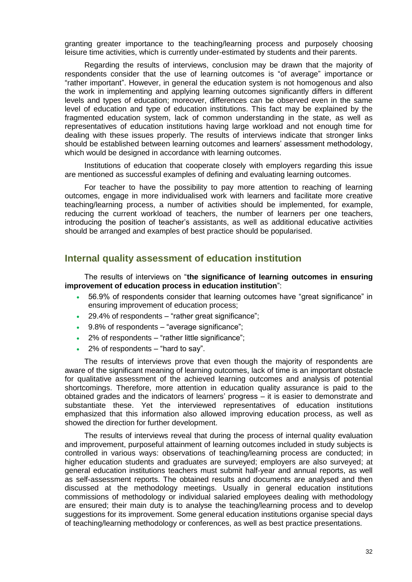granting greater importance to the teaching/learning process and purposely choosing leisure time activities, which is currently under-estimated by students and their parents.

Regarding the results of interviews, conclusion may be drawn that the majority of respondents consider that the use of learning outcomes is "of average" importance or "rather important". However, in general the education system is not homogenous and also the work in implementing and applying learning outcomes significantly differs in different levels and types of education; moreover, differences can be observed even in the same level of education and type of education institutions. This fact may be explained by the fragmented education system, lack of common understanding in the state, as well as representatives of education institutions having large workload and not enough time for dealing with these issues properly. The results of interviews indicate that stronger links should be established between learning outcomes and learners' assessment methodology, which would be designed in accordance with learning outcomes.

Institutions of education that cooperate closely with employers regarding this issue are mentioned as successful examples of defining and evaluating learning outcomes.

For teacher to have the possibility to pay more attention to reaching of learning outcomes, engage in more individualised work with learners and facilitate more creative teaching/learning process, a number of activities should be implemented, for example, reducing the current workload of teachers, the number of learners per one teachers, introducing the position of teacher's assistants, as well as additional educative activities should be arranged and examples of best practice should be popularised.

## <span id="page-31-0"></span>**Internal quality assessment of education institution**

The results of interviews on "**the significance of learning outcomes in ensuring improvement of education process in education institution**":

- 56.9% of respondents consider that learning outcomes have "great significance" in ensuring improvement of education process;
- 29.4% of respondents "rather great significance";
- 9.8% of respondents "average significance";
- 2% of respondents "rather little significance";
- 2% of respondents "hard to say".

The results of interviews prove that even though the majority of respondents are aware of the significant meaning of learning outcomes, lack of time is an important obstacle for qualitative assessment of the achieved learning outcomes and analysis of potential shortcomings. Therefore, more attention in education quality assurance is paid to the obtained grades and the indicators of learners' progress – it is easier to demonstrate and substantiate these. Yet the interviewed representatives of education institutions emphasized that this information also allowed improving education process, as well as showed the direction for further development.

The results of interviews reveal that during the process of internal quality evaluation and improvement, purposeful attainment of learning outcomes included in study subjects is controlled in various ways: observations of teaching/learning process are conducted; in higher education students and graduates are surveyed; employers are also surveyed; at general education institutions teachers must submit half-year and annual reports, as well as self-assessment reports. The obtained results and documents are analysed and then discussed at the methodology meetings. Usually in general education institutions commissions of methodology or individual salaried employees dealing with methodology are ensured; their main duty is to analyse the teaching/learning process and to develop suggestions for its improvement. Some general education institutions organise special days of teaching/learning methodology or conferences, as well as best practice presentations.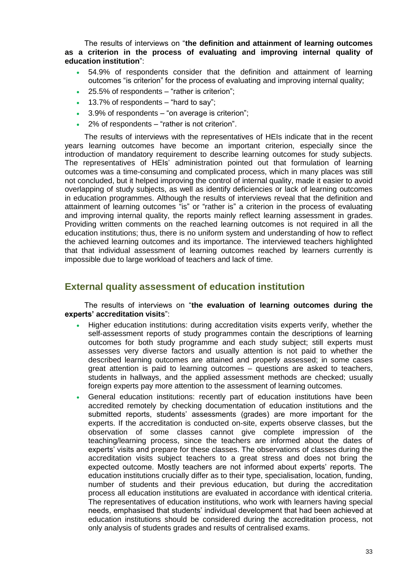The results of interviews on "**the definition and attainment of learning outcomes as a criterion in the process of evaluating and improving internal quality of education institution**":

- 54.9% of respondents consider that the definition and attainment of learning outcomes "is criterion" for the process of evaluating and improving internal quality;
- 25.5% of respondents "rather is criterion";
- $\bullet$  13.7% of respondents "hard to say";
- 3.9% of respondents "on average is criterion";
- 2% of respondents "rather is not criterion".

The results of interviews with the representatives of HEIs indicate that in the recent years learning outcomes have become an important criterion, especially since the introduction of mandatory requirement to describe learning outcomes for study subjects. The representatives of HEIs' administration pointed out that formulation of learning outcomes was a time-consuming and complicated process, which in many places was still not concluded, but it helped improving the control of internal quality, made it easier to avoid overlapping of study subjects, as well as identify deficiencies or lack of learning outcomes in education programmes. Although the results of interviews reveal that the definition and attainment of learning outcomes "is" or "rather is" a criterion in the process of evaluating and improving internal quality, the reports mainly reflect learning assessment in grades. Providing written comments on the reached learning outcomes is not required in all the education institutions; thus, there is no uniform system and understanding of how to reflect the achieved learning outcomes and its importance. The interviewed teachers highlighted that that individual assessment of learning outcomes reached by learners currently is impossible due to large workload of teachers and lack of time.

## <span id="page-32-0"></span>**External quality assessment of education institution**

The results of interviews on "**the evaluation of learning outcomes during the experts' accreditation visits**":

- Higher education institutions: during accreditation visits experts verify, whether the self-assessment reports of study programmes contain the descriptions of learning outcomes for both study programme and each study subject; still experts must assesses very diverse factors and usually attention is not paid to whether the described learning outcomes are attained and properly assessed; in some cases great attention is paid to learning outcomes – questions are asked to teachers, students in hallways, and the applied assessment methods are checked; usually foreign experts pay more attention to the assessment of learning outcomes.
- General education institutions: recently part of education institutions have been accredited remotely by checking documentation of education institutions and the submitted reports, students' assessments (grades) are more important for the experts. If the accreditation is conducted on-site, experts observe classes, but the observation of some classes cannot give complete impression of the teaching/learning process, since the teachers are informed about the dates of experts' visits and prepare for these classes. The observations of classes during the accreditation visits subject teachers to a great stress and does not bring the expected outcome. Mostly teachers are not informed about experts' reports. The education institutions crucially differ as to their type, specialisation, location, funding, number of students and their previous education, but during the accreditation process all education institutions are evaluated in accordance with identical criteria. The representatives of education institutions, who work with learners having special needs, emphasised that students' individual development that had been achieved at education institutions should be considered during the accreditation process, not only analysis of students grades and results of centralised exams.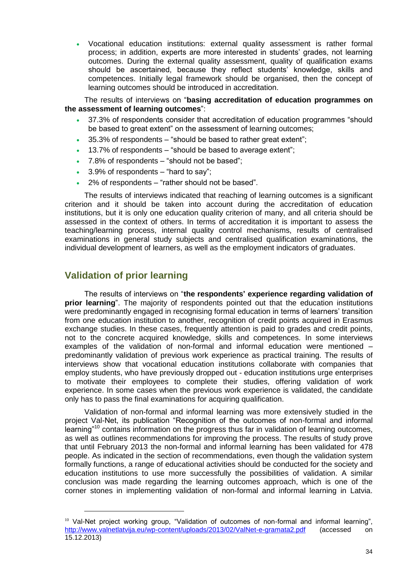Vocational education institutions: external quality assessment is rather formal process; in addition, experts are more interested in students' grades, not learning outcomes. During the external quality assessment, quality of qualification exams should be ascertained, because they reflect students' knowledge, skills and competences. Initially legal framework should be organised, then the concept of learning outcomes should be introduced in accreditation.

The results of interviews on "**basing accreditation of education programmes on the assessment of learning outcomes**":

- 37.3% of respondents consider that accreditation of education programmes "should be based to great extent" on the assessment of learning outcomes;
- 35.3% of respondents "should be based to rather great extent";
- 13.7% of respondents "should be based to average extent";
- 7.8% of respondents "should not be based";
- 3.9% of respondents "hard to say";
- 2% of respondents "rather should not be based".

The results of interviews indicated that reaching of learning outcomes is a significant criterion and it should be taken into account during the accreditation of education institutions, but it is only one education quality criterion of many, and all criteria should be assessed in the context of others. In terms of accreditation it is important to assess the teaching/learning process, internal quality control mechanisms, results of centralised examinations in general study subjects and centralised qualification examinations, the individual development of learners, as well as the employment indicators of graduates.

## <span id="page-33-0"></span>**Validation of prior learning**

-

The results of interviews on "**the respondents' experience regarding validation of prior learning**". The majority of respondents pointed out that the education institutions were predominantly engaged in recognising formal education in terms of learners' transition from one education institution to another, recognition of credit points acquired in Erasmus exchange studies. In these cases, frequently attention is paid to grades and credit points, not to the concrete acquired knowledge, skills and competences. In some interviews examples of the validation of non-formal and informal education were mentioned – predominantly validation of previous work experience as practical training. The results of interviews show that vocational education institutions collaborate with companies that employ students, who have previously dropped out - education institutions urge enterprises to motivate their employees to complete their studies, offering validation of work experience. In some cases when the previous work experience is validated, the candidate only has to pass the final examinations for acquiring qualification.

Validation of non-formal and informal learning was more extensively studied in the project Val-Net, its publication "Recognition of the outcomes of non-formal and informal learning"<sup>10</sup> contains information on the progress thus far in validation of learning outcomes, as well as outlines recommendations for improving the process. The results of study prove that until February 2013 the non-formal and informal learning has been validated for 478 people. As indicated in the section of recommendations, even though the validation system formally functions, a range of educational activities should be conducted for the society and education institutions to use more successfully the possibilities of validation. A similar conclusion was made regarding the learning outcomes approach, which is one of the corner stones in implementing validation of non-formal and informal learning in Latvia.

<sup>&</sup>lt;sup>10</sup> Val-Net project working group, "Validation of outcomes of non-formal and informal learning", <http://www.valnetlatvija.eu/wp-content/uploads/2013/02/ValNet-e-gramata2.pdf> (accessed on 15.12.2013)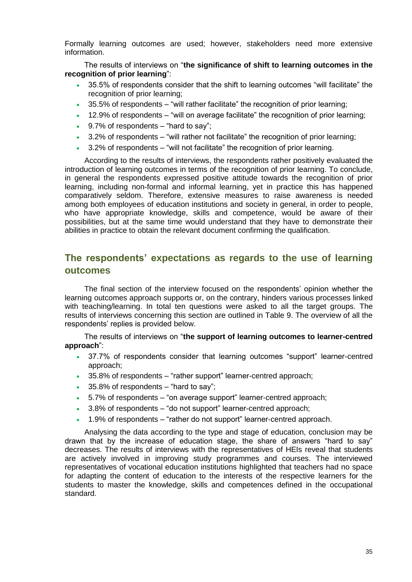Formally learning outcomes are used; however, stakeholders need more extensive information.

The results of interviews on "**the significance of shift to learning outcomes in the recognition of prior learning**":

- 35.5% of respondents consider that the shift to learning outcomes "will facilitate" the recognition of prior learning;
- 35.5% of respondents "will rather facilitate" the recognition of prior learning;
- 12.9% of respondents "will on average facilitate" the recognition of prior learning;
- 9.7% of respondents "hard to say";
- 3.2% of respondents "will rather not facilitate" the recognition of prior learning;
- 3.2% of respondents "will not facilitate" the recognition of prior learning.

According to the results of interviews, the respondents rather positively evaluated the introduction of learning outcomes in terms of the recognition of prior learning. To conclude, in general the respondents expressed positive attitude towards the recognition of prior learning, including non-formal and informal learning, yet in practice this has happened comparatively seldom. Therefore, extensive measures to raise awareness is needed among both employees of education institutions and society in general, in order to people, who have appropriate knowledge, skills and competence, would be aware of their possibilities, but at the same time would understand that they have to demonstrate their abilities in practice to obtain the relevant document confirming the qualification.

## <span id="page-34-0"></span>**The respondents' expectations as regards to the use of learning outcomes**

The final section of the interview focused on the respondents' opinion whether the learning outcomes approach supports or, on the contrary, hinders various processes linked with teaching/learning. In total ten questions were asked to all the target groups. The results of interviews concerning this section are outlined in Table 9. The overview of all the respondents' replies is provided below.

The results of interviews on "**the support of learning outcomes to learner-centred approach**":

- 37.7% of respondents consider that learning outcomes "support" learner-centred approach;
- 35.8% of respondents "rather support" learner-centred approach;
- 35.8% of respondents "hard to say";
- 5.7% of respondents "on average support" learner-centred approach;
- 3.8% of respondents "do not support" learner-centred approach;
- 1.9% of respondents "rather do not support" learner-centred approach.

Analysing the data according to the type and stage of education, conclusion may be drawn that by the increase of education stage, the share of answers "hard to say" decreases. The results of interviews with the representatives of HEIs reveal that students are actively involved in improving study programmes and courses. The interviewed representatives of vocational education institutions highlighted that teachers had no space for adapting the content of education to the interests of the respective learners for the students to master the knowledge, skills and competences defined in the occupational standard.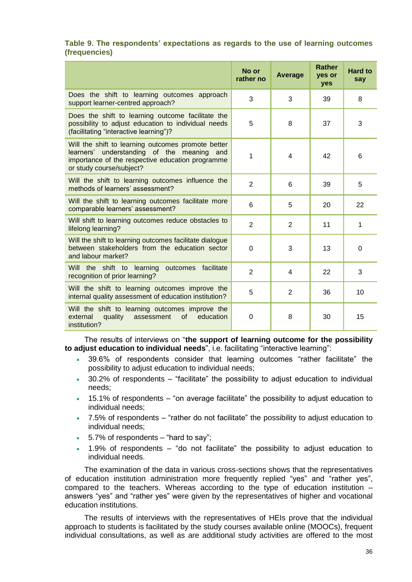### **Table 9. The respondents' expectations as regards to the use of learning outcomes (frequencies)**

|                                                                                                                                                                                  | No or<br>rather no | Average        | <b>Rather</b><br>yes or<br>yes | <b>Hard to</b><br>say |
|----------------------------------------------------------------------------------------------------------------------------------------------------------------------------------|--------------------|----------------|--------------------------------|-----------------------|
| Does the shift to learning outcomes approach<br>support learner-centred approach?                                                                                                | 3                  | 3              | 39                             | 8                     |
| Does the shift to learning outcome facilitate the<br>possibility to adjust education to individual needs<br>(facilitating "interactive learning")?                               | 5                  | 8              | 37                             | 3                     |
| Will the shift to learning outcomes promote better<br>learners' understanding of the meaning and<br>importance of the respective education programme<br>or study course/subject? | 1                  | 4              | 42                             | 6                     |
| Will the shift to learning outcomes influence the<br>methods of learners' assessment?                                                                                            | $\overline{2}$     | 6              | 39                             | 5                     |
| Will the shift to learning outcomes facilitate more<br>comparable learners' assessment?                                                                                          | 6                  | 5              | 20                             | 22                    |
| Will shift to learning outcomes reduce obstacles to<br>lifelong learning?                                                                                                        | $\overline{2}$     | $\overline{2}$ | 11                             | 1                     |
| Will the shift to learning outcomes facilitate dialogue<br>between stakeholders from the education sector<br>and labour market?                                                  | $\Omega$           | 3              | 13                             | $\mathbf 0$           |
| Will the shift to learning<br>facilitate<br>outcomes<br>recognition of prior learning?                                                                                           | $\overline{2}$     | 4              | 22                             | 3                     |
| Will the shift to learning outcomes improve the<br>internal quality assessment of education institution?                                                                         | 5                  | $\overline{2}$ | 36                             | 10                    |
| Will the shift to learning outcomes improve the<br>external<br>quality<br>assessment<br>of<br>education<br>institution?                                                          | 0                  | 8              | 30                             | 15                    |

The results of interviews on "**the support of learning outcome for the possibility to adjust education to individual needs**", i.e. facilitating "interactive learning":

- 39.6% of respondents consider that learning outcomes "rather facilitate" the possibility to adjust education to individual needs;
- 30.2% of respondents "facilitate" the possibility to adjust education to individual needs;
- 15.1% of respondents "on average facilitate" the possibility to adjust education to individual needs;
- 7.5% of respondents "rather do not facilitate" the possibility to adjust education to individual needs;
- $\cdot$  5.7% of respondents "hard to say":
- 1.9% of respondents "do not facilitate" the possibility to adjust education to individual needs.

The examination of the data in various cross-sections shows that the representatives of education institution administration more frequently replied "yes" and "rather yes", compared to the teachers. Whereas according to the type of education institution – answers "yes" and "rather yes" were given by the representatives of higher and vocational education institutions.

The results of interviews with the representatives of HEIs prove that the individual approach to students is facilitated by the study courses available online (MOOCs), frequent individual consultations, as well as are additional study activities are offered to the most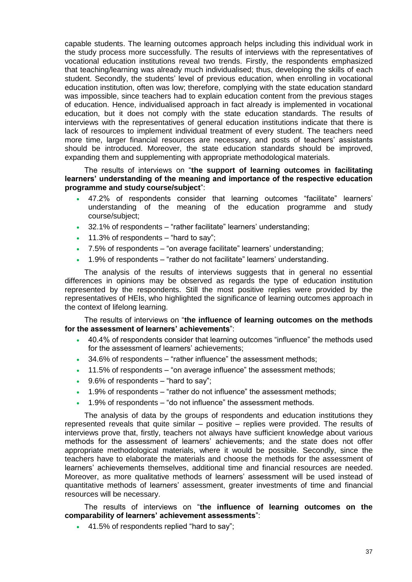capable students. The learning outcomes approach helps including this individual work in the study process more successfully. The results of interviews with the representatives of vocational education institutions reveal two trends. Firstly, the respondents emphasized that teaching/learning was already much individualised; thus, developing the skills of each student. Secondly, the students' level of previous education, when enrolling in vocational education institution, often was low; therefore, complying with the state education standard was impossible, since teachers had to explain education content from the previous stages of education. Hence, individualised approach in fact already is implemented in vocational education, but it does not comply with the state education standards. The results of interviews with the representatives of general education institutions indicate that there is lack of resources to implement individual treatment of every student. The teachers need more time, larger financial resources are necessary, and posts of teachers' assistants should be introduced. Moreover, the state education standards should be improved, expanding them and supplementing with appropriate methodological materials.

The results of interviews on "**the support of learning outcomes in facilitating learners' understanding of the meaning and importance of the respective education programme and study course/subject**":

- 47.2% of respondents consider that learning outcomes "facilitate" learners' understanding of the meaning of the education programme and study course/subject;
- 32.1% of respondents "rather facilitate" learners' understanding;
- $\cdot$  11.3% of respondents "hard to say";
- 7.5% of respondents "on average facilitate" learners' understanding;
- 1.9% of respondents "rather do not facilitate" learners' understanding.

The analysis of the results of interviews suggests that in general no essential differences in opinions may be observed as regards the type of education institution represented by the respondents. Still the most positive replies were provided by the representatives of HEIs, who highlighted the significance of learning outcomes approach in the context of lifelong learning.

The results of interviews on "**the influence of learning outcomes on the methods for the assessment of learners' achievements**":

- 40.4% of respondents consider that learning outcomes "influence" the methods used for the assessment of learners' achievements;
- 34.6% of respondents "rather influence" the assessment methods;
- 11.5% of respondents "on average influence" the assessment methods;
- $\cdot$  9.6% of respondents "hard to say";
- 1.9% of respondents "rather do not influence" the assessment methods;
- 1.9% of respondents "do not influence" the assessment methods.

The analysis of data by the groups of respondents and education institutions they represented reveals that quite similar – positive – replies were provided. The results of interviews prove that, firstly, teachers not always have sufficient knowledge about various methods for the assessment of learners' achievements; and the state does not offer appropriate methodological materials, where it would be possible. Secondly, since the teachers have to elaborate the materials and choose the methods for the assessment of learners' achievements themselves, additional time and financial resources are needed. Moreover, as more qualitative methods of learners' assessment will be used instead of quantitative methods of learners' assessment, greater investments of time and financial resources will be necessary.

The results of interviews on "**the influence of learning outcomes on the comparability of learners' achievement assessments**":

41.5% of respondents replied "hard to say";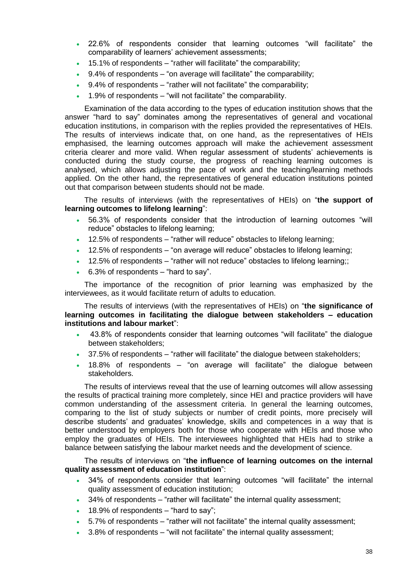- 22.6% of respondents consider that learning outcomes "will facilitate" the comparability of learners' achievement assessments;
- 15.1% of respondents "rather will facilitate" the comparability;
- $\cdot$  9.4% of respondents "on average will facilitate" the comparability;
- 9.4% of respondents "rather will not facilitate" the comparability;
- 1.9% of respondents "will not facilitate" the comparability.

Examination of the data according to the types of education institution shows that the answer "hard to say" dominates among the representatives of general and vocational education institutions, in comparison with the replies provided the representatives of HEIs. The results of interviews indicate that, on one hand, as the representatives of HEIs emphasised, the learning outcomes approach will make the achievement assessment criteria clearer and more valid. When regular assessment of students' achievements is conducted during the study course, the progress of reaching learning outcomes is analysed, which allows adjusting the pace of work and the teaching/learning methods applied. On the other hand, the representatives of general education institutions pointed out that comparison between students should not be made.

The results of interviews (with the representatives of HEIs) on "**the support of learning outcomes to lifelong learning**":

- 56.3% of respondents consider that the introduction of learning outcomes "will reduce" obstacles to lifelong learning;
- 12.5% of respondents "rather will reduce" obstacles to lifelong learning;
- 12.5% of respondents "on average will reduce" obstacles to lifelong learning;
- 12.5% of respondents "rather will not reduce" obstacles to lifelong learning;;
- 6.3% of respondents "hard to say".

The importance of the recognition of prior learning was emphasized by the interviewees, as it would facilitate return of adults to education.

The results of interviews (with the representatives of HEIs) on "**the significance of learning outcomes in facilitating the dialogue between stakeholders – education institutions and labour market**":

- 43.8% of respondents consider that learning outcomes "will facilitate" the dialogue between stakeholders;
- 37.5% of respondents "rather will facilitate" the dialogue between stakeholders;
- 18.8% of respondents "on average will facilitate" the dialogue between stakeholders.

The results of interviews reveal that the use of learning outcomes will allow assessing the results of practical training more completely, since HEI and practice providers will have common understanding of the assessment criteria. In general the learning outcomes, comparing to the list of study subjects or number of credit points, more precisely will describe students' and graduates' knowledge, skills and competences in a way that is better understood by employers both for those who cooperate with HEIs and those who employ the graduates of HEIs. The interviewees highlighted that HEIs had to strike a balance between satisfying the labour market needs and the development of science.

The results of interviews on "**the influence of learning outcomes on the internal quality assessment of education institution**":

- 34% of respondents consider that learning outcomes "will facilitate" the internal quality assessment of education institution;
- 34% of respondents "rather will facilitate" the internal quality assessment;
- 18.9% of respondents "hard to say";
- 5.7% of respondents "rather will not facilitate" the internal quality assessment;
- 3.8% of respondents "will not facilitate" the internal quality assessment;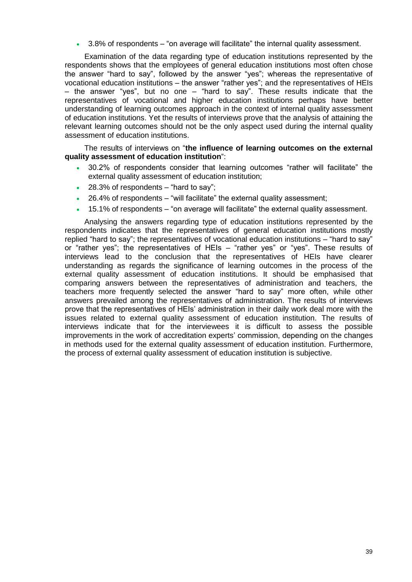3.8% of respondents – "on average will facilitate" the internal quality assessment.

Examination of the data regarding type of education institutions represented by the respondents shows that the employees of general education institutions most often chose the answer "hard to say", followed by the answer "yes"; whereas the representative of vocational education institutions – the answer "rather yes"; and the representatives of HEIs – the answer "yes", but no one – "hard to say". These results indicate that the representatives of vocational and higher education institutions perhaps have better understanding of learning outcomes approach in the context of internal quality assessment of education institutions. Yet the results of interviews prove that the analysis of attaining the relevant learning outcomes should not be the only aspect used during the internal quality assessment of education institutions.

The results of interviews on "**the influence of learning outcomes on the external quality assessment of education institution**":

- 30.2% of respondents consider that learning outcomes "rather will facilitate" the external quality assessment of education institution;
- $\cdot$  28.3% of respondents "hard to say";
- 26.4% of respondents "will facilitate" the external quality assessment;
- 15.1% of respondents "on average will facilitate" the external quality assessment.

Analysing the answers regarding type of education institutions represented by the respondents indicates that the representatives of general education institutions mostly replied "hard to say"; the representatives of vocational education institutions – "hard to say" or "rather yes"; the representatives of HEIs – "rather yes" or "yes". These results of interviews lead to the conclusion that the representatives of HEIs have clearer understanding as regards the significance of learning outcomes in the process of the external quality assessment of education institutions. It should be emphasised that comparing answers between the representatives of administration and teachers, the teachers more frequently selected the answer "hard to say" more often, while other answers prevailed among the representatives of administration. The results of interviews prove that the representatives of HEIs' administration in their daily work deal more with the issues related to external quality assessment of education institution. The results of interviews indicate that for the interviewees it is difficult to assess the possible improvements in the work of accreditation experts' commission, depending on the changes in methods used for the external quality assessment of education institution. Furthermore, the process of external quality assessment of education institution is subjective.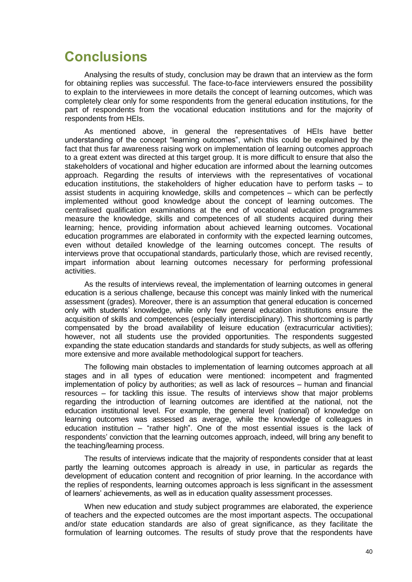## <span id="page-39-0"></span>**Conclusions**

Analysing the results of study, conclusion may be drawn that an interview as the form for obtaining replies was successful. The face-to-face interviewers ensured the possibility to explain to the interviewees in more details the concept of learning outcomes, which was completely clear only for some respondents from the general education institutions, for the part of respondents from the vocational education institutions and for the majority of respondents from HEIs.

As mentioned above, in general the representatives of HEIs have better understanding of the concept "learning outcomes", which this could be explained by the fact that thus far awareness raising work on implementation of learning outcomes approach to a great extent was directed at this target group. It is more difficult to ensure that also the stakeholders of vocational and higher education are informed about the learning outcomes approach. Regarding the results of interviews with the representatives of vocational education institutions, the stakeholders of higher education have to perform tasks – to assist students in acquiring knowledge, skills and competences – which can be perfectly implemented without good knowledge about the concept of learning outcomes. The centralised qualification examinations at the end of vocational education programmes measure the knowledge, skills and competences of all students acquired during their learning; hence, providing information about achieved learning outcomes. Vocational education programmes are elaborated in conformity with the expected learning outcomes, even without detailed knowledge of the learning outcomes concept. The results of interviews prove that occupational standards, particularly those, which are revised recently, impart information about learning outcomes necessary for performing professional activities.

As the results of interviews reveal, the implementation of learning outcomes in general education is a serious challenge, because this concept was mainly linked with the numerical assessment (grades). Moreover, there is an assumption that general education is concerned only with students' knowledge, while only few general education institutions ensure the acquisition of skills and competences (especially interdisciplinary). This shortcoming is partly compensated by the broad availability of leisure education (extracurricular activities); however, not all students use the provided opportunities. The respondents suggested expanding the state education standards and standards for study subjects, as well as offering more extensive and more available methodological support for teachers.

The following main obstacles to implementation of learning outcomes approach at all stages and in all types of education were mentioned: incompetent and fragmented implementation of policy by authorities; as well as lack of resources – human and financial resources – for tackling this issue. The results of interviews show that major problems regarding the introduction of learning outcomes are identified at the national, not the education institutional level. For example, the general level (national) of knowledge on learning outcomes was assessed as average, while the knowledge of colleagues in education institution – "rather high". One of the most essential issues is the lack of respondents' conviction that the learning outcomes approach, indeed, will bring any benefit to the teaching/learning process.

The results of interviews indicate that the majority of respondents consider that at least partly the learning outcomes approach is already in use, in particular as regards the development of education content and recognition of prior learning. In the accordance with the replies of respondents, learning outcomes approach is less significant in the assessment of learners' achievements, as well as in education quality assessment processes.

When new education and study subject programmes are elaborated, the experience of teachers and the expected outcomes are the most important aspects. The occupational and/or state education standards are also of great significance, as they facilitate the formulation of learning outcomes. The results of study prove that the respondents have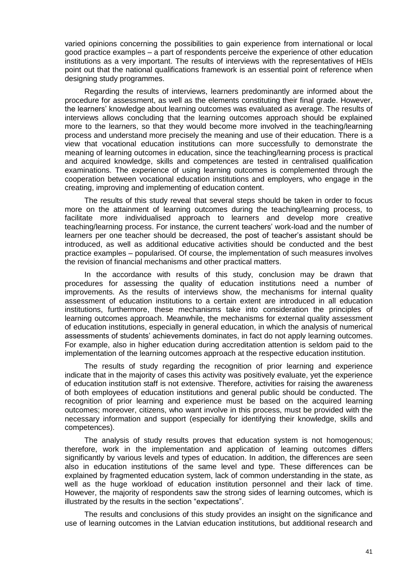varied opinions concerning the possibilities to gain experience from international or local good practice examples – a part of respondents perceive the experience of other education institutions as a very important. The results of interviews with the representatives of HEIs point out that the national qualifications framework is an essential point of reference when designing study programmes.

Regarding the results of interviews, learners predominantly are informed about the procedure for assessment, as well as the elements constituting their final grade. However, the learners' knowledge about learning outcomes was evaluated as average. The results of interviews allows concluding that the learning outcomes approach should be explained more to the learners, so that they would become more involved in the teaching/learning process and understand more precisely the meaning and use of their education. There is a view that vocational education institutions can more successfully to demonstrate the meaning of learning outcomes in education, since the teaching/learning process is practical and acquired knowledge, skills and competences are tested in centralised qualification examinations. The experience of using learning outcomes is complemented through the cooperation between vocational education institutions and employers, who engage in the creating, improving and implementing of education content.

The results of this study reveal that several steps should be taken in order to focus more on the attainment of learning outcomes during the teaching/learning process, to facilitate more individualised approach to learners and develop more creative teaching/learning process. For instance, the current teachers' work-load and the number of learners per one teacher should be decreased, the post of teacher's assistant should be introduced, as well as additional educative activities should be conducted and the best practice examples – popularised. Of course, the implementation of such measures involves the revision of financial mechanisms and other practical matters.

In the accordance with results of this study, conclusion may be drawn that procedures for assessing the quality of education institutions need a number of improvements. As the results of interviews show, the mechanisms for internal quality assessment of education institutions to a certain extent are introduced in all education institutions, furthermore, these mechanisms take into consideration the principles of learning outcomes approach. Meanwhile, the mechanisms for external quality assessment of education institutions, especially in general education, in which the analysis of numerical assessments of students' achievements dominates, in fact do not apply learning outcomes. For example, also in higher education during accreditation attention is seldom paid to the implementation of the learning outcomes approach at the respective education institution.

The results of study regarding the recognition of prior learning and experience indicate that in the majority of cases this activity was positively evaluate, yet the experience of education institution staff is not extensive. Therefore, activities for raising the awareness of both employees of education institutions and general public should be conducted. The recognition of prior learning and experience must be based on the acquired learning outcomes; moreover, citizens, who want involve in this process, must be provided with the necessary information and support (especially for identifying their knowledge, skills and competences).

The analysis of study results proves that education system is not homogenous; therefore, work in the implementation and application of learning outcomes differs significantly by various levels and types of education. In addition, the differences are seen also in education institutions of the same level and type. These differences can be explained by fragmented education system, lack of common understanding in the state, as well as the huge workload of education institution personnel and their lack of time. However, the majority of respondents saw the strong sides of learning outcomes, which is illustrated by the results in the section "expectations".

The results and conclusions of this study provides an insight on the significance and use of learning outcomes in the Latvian education institutions, but additional research and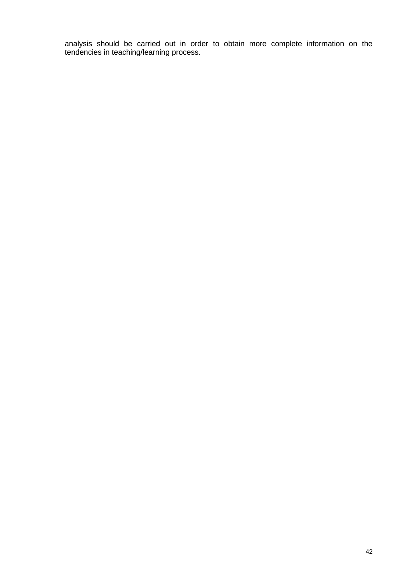analysis should be carried out in order to obtain more complete information on the tendencies in teaching/learning process.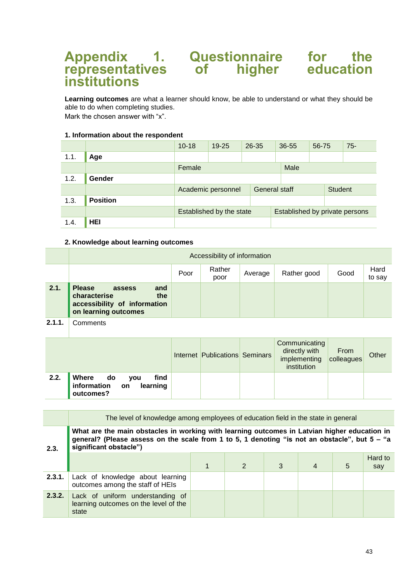## <span id="page-42-0"></span>**Appendix 1. Questionnaire for the representatives of higher education institutions**

**Learning outcomes** are what a learner should know, be able to understand or what they should be able to do when completing studies. Mark the chosen answer with "x".

#### **1. Information about the respondent**

|      |                 | $10 - 18$                | $19 - 25$          | $26 - 35$ | 36-55                          | 56-75          | $75 -$ |
|------|-----------------|--------------------------|--------------------|-----------|--------------------------------|----------------|--------|
| 1.1. | Age             |                          |                    |           |                                |                |        |
|      |                 | Female                   |                    |           | Male                           |                |        |
| 1.2. | Gender          |                          |                    |           |                                |                |        |
|      |                 |                          | Academic personnel |           | General staff                  | <b>Student</b> |        |
| 1.3. | <b>Position</b> |                          |                    |           |                                |                |        |
|      |                 | Established by the state |                    |           | Established by private persons |                |        |
| 1.4. | <b>HEI</b>      |                          |                    |           |                                |                |        |

#### **2. Knowledge about learning outcomes**

|      |                                                                                                               |      | Accessibility of information |         |             |      |                |
|------|---------------------------------------------------------------------------------------------------------------|------|------------------------------|---------|-------------|------|----------------|
|      |                                                                                                               | Poor | Rather<br>poor               | Average | Rather good | Good | Hard<br>to say |
| 2.1. | <b>Please</b><br>and<br>assess<br>characterise<br>the<br>accessibility of information<br>on learning outcomes |      |                              |         |             |      |                |
| .    | $\sim$ $\sim$ $\sim$                                                                                          |      |                              |         |             |      |                |

**2.1.1.** Comments

|      |                                                                      | <b>Internet Publications Seminars</b> | Communicating<br>directly with<br>implementing<br>institution | From<br>colleagues | Other |
|------|----------------------------------------------------------------------|---------------------------------------|---------------------------------------------------------------|--------------------|-------|
| 2.2. | find<br>  Where<br>do<br>you<br>information on learning<br>outcomes? |                                       |                                                               |                    |       |

|        | The level of knowledge among employees of education field in the state in general                                                                                                                                       |  |   |   |  |   |                |  |  |  |
|--------|-------------------------------------------------------------------------------------------------------------------------------------------------------------------------------------------------------------------------|--|---|---|--|---|----------------|--|--|--|
| 2.3.   | What are the main obstacles in working with learning outcomes in Latvian higher education in<br>general? (Please assess on the scale from 1 to 5, 1 denoting "is not an obstacle", but 5 - "a<br>significant obstacle") |  |   |   |  |   |                |  |  |  |
|        |                                                                                                                                                                                                                         |  | 2 | 3 |  | 5 | Hard to<br>say |  |  |  |
| 2.3.1. | Lack of knowledge about learning<br>outcomes among the staff of HEIs                                                                                                                                                    |  |   |   |  |   |                |  |  |  |
| 2.3.2. | Lack of uniform understanding of<br>learning outcomes on the level of the<br>state                                                                                                                                      |  |   |   |  |   |                |  |  |  |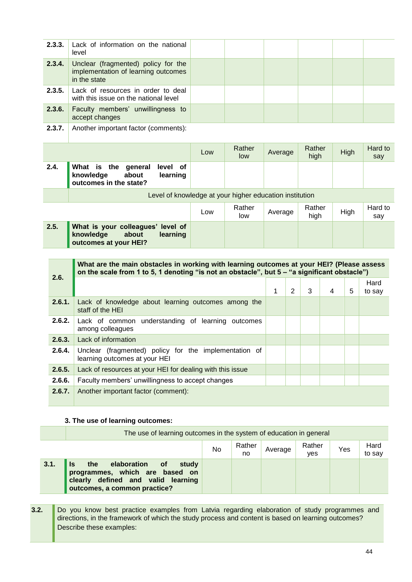| 2.3.3.<br>2.3.4. | Lack of information on the national<br>level                                                 |                           |               |         |                |                |                |  |             |                |
|------------------|----------------------------------------------------------------------------------------------|---------------------------|---------------|---------|----------------|----------------|----------------|--|-------------|----------------|
|                  |                                                                                              |                           |               |         |                |                |                |  |             |                |
|                  | Unclear (fragmented) policy for the<br>implementation of learning outcomes<br>in the state   |                           |               |         |                |                |                |  |             |                |
| 2.3.5.           | Lack of resources in order to deal<br>with this issue on the national level                  |                           |               |         |                |                |                |  |             |                |
| 2.3.6.           | Faculty members' unwillingness to<br>accept changes                                          |                           |               |         |                |                |                |  |             |                |
| 2.3.7.           | Another important factor (comments):                                                         |                           |               |         |                |                |                |  |             |                |
|                  |                                                                                              | Low                       | Rather<br>low | Average |                | Rather<br>high |                |  | <b>High</b> | Hard to<br>say |
| 2.4.             | What is the general<br>level of<br>knowledge<br>about<br>learning<br>outcomes in the state?  |                           |               |         |                |                |                |  |             |                |
|                  | Level of knowledge at your higher education institution                                      |                           |               |         |                |                |                |  |             |                |
|                  |                                                                                              | Rather<br>Average<br>high |               |         | High           |                | Hard to<br>say |  |             |                |
| 2.5.             | What is your colleagues' level of<br>knowledge<br>about<br>learning<br>outcomes at your HEI? |                           |               |         |                |                |                |  |             |                |
|                  |                                                                                              |                           |               |         |                |                |                |  |             |                |
|                  |                                                                                              |                           |               |         |                |                |                |  |             |                |
|                  | What are the main obstacles in working with learning outcomes at your HEI? (Please assess    |                           |               |         |                |                |                |  |             |                |
| 2.6.             | on the scale from 1 to 5, 1 denoting "is not an obstacle", but 5 - "a significant obstacle") |                           |               | 1       | $\overline{2}$ | 3              | $\overline{4}$ |  | 5           | Hard<br>to say |
| 2.6.1.           | Lack of knowledge about learning outcomes among the<br>staff of the HEI                      |                           |               |         |                |                |                |  |             |                |
| 2.6.2.           | Lack of common understanding of learning outcomes<br>among colleagues                        |                           |               |         |                |                |                |  |             |                |
| 2.6.3.           | Lack of information                                                                          |                           |               |         |                |                |                |  |             |                |
| 2.6.4.           | Unclear (fragmented) policy for the implementation of<br>learning outcomes at your HEI       |                           |               |         |                |                |                |  |             |                |
| 2.6.5.           | Lack of resources at your HEI for dealing with this issue                                    |                           |               |         |                |                |                |  |             |                |
| 2.6.6.           | Faculty members' unwillingness to accept changes                                             |                           |               |         |                |                |                |  |             |                |

|      | The use of learning outcomes in the system of education in general                                                                                  |    |              |         |               |     |                |
|------|-----------------------------------------------------------------------------------------------------------------------------------------------------|----|--------------|---------|---------------|-----|----------------|
|      |                                                                                                                                                     | No | Rather<br>no | Average | Rather<br>yes | Yes | Hard<br>to say |
| 3.1. | the<br>elaboration of<br><b>Is</b><br>study<br>programmes, which are based on<br>clearly defined and valid learning<br>outcomes, a common practice? |    |              |         |               |     |                |

**3.2.** Do you know best practice examples from Latvia regarding elaboration of study programmes and directions, in the framework of which the study process and content is based on learning outcomes? Describe these examples: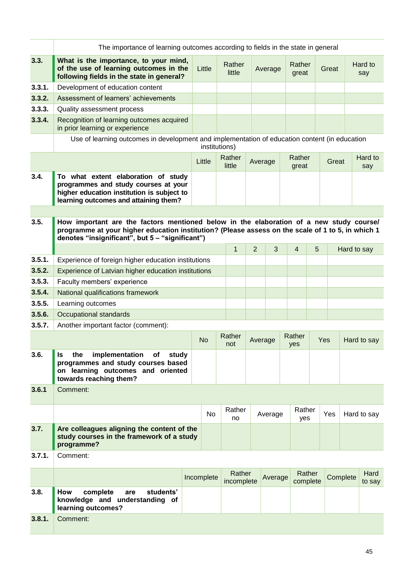|        | The importance of learning outcomes according to fields in the state in general                                                                                                                                                                 |  |               |                      |                |         |                    |   |          |             |                |
|--------|-------------------------------------------------------------------------------------------------------------------------------------------------------------------------------------------------------------------------------------------------|--|---------------|----------------------|----------------|---------|--------------------|---|----------|-------------|----------------|
| 3.3.   | What is the importance, to your mind,<br>of the use of learning outcomes in the<br>following fields in the state in general?                                                                                                                    |  | Little        | Rather<br>little     |                | Average | Rather<br>great    |   | Great    |             | Hard to<br>say |
| 3.3.1. | Development of education content                                                                                                                                                                                                                |  |               |                      |                |         |                    |   |          |             |                |
| 3.3.2. | Assessment of learners' achievements                                                                                                                                                                                                            |  |               |                      |                |         |                    |   |          |             |                |
| 3.3.3. | Quality assessment process                                                                                                                                                                                                                      |  |               |                      |                |         |                    |   |          |             |                |
| 3.3.4. | Recognition of learning outcomes acquired<br>in prior learning or experience                                                                                                                                                                    |  |               |                      |                |         |                    |   |          |             |                |
|        | Use of learning outcomes in development and implementation of education content (in education                                                                                                                                                   |  | institutions) |                      |                |         |                    |   |          |             |                |
|        |                                                                                                                                                                                                                                                 |  | Little        | Rather<br>little     |                | Average | Rather<br>great    |   | Great    |             | Hard to<br>say |
| 3.4.   | To what extent elaboration of study<br>programmes and study courses at your<br>higher education institution is subject to<br>learning outcomes and attaining them?                                                                              |  |               |                      |                |         |                    |   |          |             |                |
| 3.5.   | How important are the factors mentioned below in the elaboration of a new study course/<br>programme at your higher education institution? (Please assess on the scale of 1 to 5, in which 1<br>denotes "insignificant", but 5 - "significant") |  |               |                      |                |         |                    |   |          |             |                |
|        |                                                                                                                                                                                                                                                 |  |               | $\mathbf{1}$         | $\overline{2}$ | 3       | $\overline{4}$     | 5 |          | Hard to say |                |
| 3.5.1. | Experience of foreign higher education institutions                                                                                                                                                                                             |  |               |                      |                |         |                    |   |          |             |                |
| 3.5.2. | Experience of Latvian higher education institutions                                                                                                                                                                                             |  |               |                      |                |         |                    |   |          |             |                |
| 3.5.3. | Faculty members' experience                                                                                                                                                                                                                     |  |               |                      |                |         |                    |   |          |             |                |
| 3.5.4. | National qualifications framework                                                                                                                                                                                                               |  |               |                      |                |         |                    |   |          |             |                |
| 3.5.5. | Learning outcomes                                                                                                                                                                                                                               |  |               |                      |                |         |                    |   |          |             |                |
| 3.5.6. | Occupational standards                                                                                                                                                                                                                          |  |               |                      |                |         |                    |   |          |             |                |
| 3.5.7. | Another important factor (comment):                                                                                                                                                                                                             |  |               |                      |                |         |                    |   |          |             |                |
|        |                                                                                                                                                                                                                                                 |  | <b>No</b>     | Rather<br>not        |                | Average | Rather<br>yes      |   | Yes      |             | Hard to say    |
| 3.6.   | ls<br>the<br>implementation<br>of<br>study<br>programmes and study courses based<br>on learning outcomes and oriented<br>towards reaching them?                                                                                                 |  |               |                      |                |         |                    |   |          |             |                |
| 3.6.1  | Comment:                                                                                                                                                                                                                                        |  |               |                      |                |         |                    |   |          |             |                |
|        |                                                                                                                                                                                                                                                 |  | No            | Rather<br>no         |                | Average | Rather<br>yes      |   | Yes      |             | Hard to say    |
| 3.7.   | Are colleagues aligning the content of the<br>study courses in the framework of a study<br>programme?                                                                                                                                           |  |               |                      |                |         |                    |   |          |             |                |
| 3.7.1. | Comment:                                                                                                                                                                                                                                        |  |               |                      |                |         |                    |   |          |             |                |
|        |                                                                                                                                                                                                                                                 |  | Incomplete    | Rather<br>incomplete |                | Average | Rather<br>complete |   | Complete |             | Hard<br>to say |
| 3.8.   | How<br>complete<br>students'<br>are<br>knowledge and understanding of<br>learning outcomes?                                                                                                                                                     |  |               |                      |                |         |                    |   |          |             |                |
| 3.8.1. | Comment:                                                                                                                                                                                                                                        |  |               |                      |                |         |                    |   |          |             |                |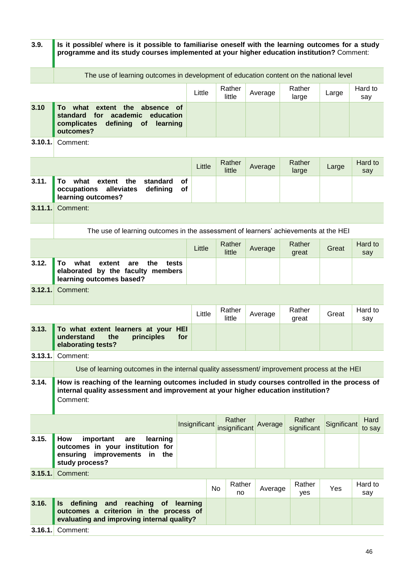| 3.9.    | Is it possible/ where is it possible to familiarise oneself with the learning outcomes for a study<br>programme and its study courses implemented at your higher education institution? Comment: |               |    |                         |         |                       |             |                |
|---------|--------------------------------------------------------------------------------------------------------------------------------------------------------------------------------------------------|---------------|----|-------------------------|---------|-----------------------|-------------|----------------|
|         | The use of learning outcomes in development of education content on the national level                                                                                                           |               |    |                         |         |                       |             |                |
|         |                                                                                                                                                                                                  | Little        |    | Rather<br>little        | Average | Rather<br>large       | Large       | Hard to<br>say |
| 3.10    | To<br>what<br>extent<br>the<br>absence<br>οf<br><b>standard</b><br>for<br>academic<br>education<br>defining<br>complicates<br><b>of</b><br>learning<br>outcomes?                                 |               |    |                         |         |                       |             |                |
| 3.10.1. | Comment:                                                                                                                                                                                         |               |    |                         |         |                       |             |                |
|         |                                                                                                                                                                                                  | Little        |    | Rather<br>little        | Average | Rather<br>large       | Large       | Hard to<br>say |
| 3.11.   | what<br>То<br>extent<br>the<br>standard<br>occupations<br>alleviates<br>defining<br>learning outcomes?                                                                                           | of<br>οf      |    |                         |         |                       |             |                |
| 3.11.1. | Comment:                                                                                                                                                                                         |               |    |                         |         |                       |             |                |
|         | The use of learning outcomes in the assessment of learners' achievements at the HEI                                                                                                              |               |    |                         |         |                       |             |                |
|         |                                                                                                                                                                                                  | Little        |    | Rather<br>little        | Average | Rather<br>great       | Great       | Hard to<br>say |
| 3.12.   | what<br>То<br>extent<br>the<br>are<br>tests<br>elaborated by the faculty members<br>learning outcomes based?                                                                                     |               |    |                         |         |                       |             |                |
| 3.12.1. | Comment:                                                                                                                                                                                         |               |    |                         |         |                       |             |                |
|         |                                                                                                                                                                                                  | Little        |    | Rather<br>little        | Average | Rather<br>great       | Great       | Hard to<br>say |
| 3.13.   | To what extent learners at your HEI<br>understand<br>principles<br>the<br>elaborating tests?                                                                                                     | for           |    |                         |         |                       |             |                |
| 3.13.1  | Comment:                                                                                                                                                                                         |               |    |                         |         |                       |             |                |
|         | Use of learning outcomes in the internal quality assessment/ improvement process at the HEI                                                                                                      |               |    |                         |         |                       |             |                |
| 3.14.   | How is reaching of the learning outcomes included in study courses controlled in the process of<br>internal quality assessment and improvement at your higher education institution?<br>Comment: |               |    |                         |         |                       |             |                |
|         |                                                                                                                                                                                                  | Insignificant |    | Rather<br>insignificant | Average | Rather<br>significant | Significant | Hard<br>to say |
| 3.15.   | How<br>important<br>learning<br>are<br>outcomes in your institution for<br>improvements<br>ensuring<br>the<br>in<br>study process?                                                               |               |    |                         |         |                       |             |                |
| 3.15.1. | Comment:                                                                                                                                                                                         |               |    |                         |         |                       |             |                |
|         |                                                                                                                                                                                                  |               | No | Rather<br>no            | Average | Rather<br>yes         | Yes         | Hard to<br>say |
| 3.16.   | defining<br>and<br>reaching<br>of<br>ls<br>outcomes a criterion in the process of<br>evaluating and improving internal quality?                                                                  | learning      |    |                         |         |                       |             |                |
| 3.16.1  | Comment:                                                                                                                                                                                         |               |    |                         |         |                       |             |                |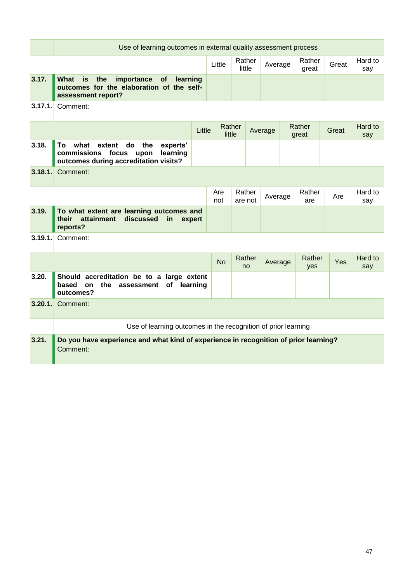|         | Use of learning outcomes in external quality assessment process                                                                    |        |                  |                   |  |         |  |                 |       |                |
|---------|------------------------------------------------------------------------------------------------------------------------------------|--------|------------------|-------------------|--|---------|--|-----------------|-------|----------------|
|         |                                                                                                                                    |        | Little           | Rather<br>little  |  | Average |  | Rather<br>great | Great | Hard to<br>say |
| 3.17.   | What<br>is<br>the<br>importance<br>of<br>learning<br>outcomes for the elaboration of the self-<br>assessment report?               |        |                  |                   |  |         |  |                 |       |                |
| 3.17.1. | Comment:                                                                                                                           |        |                  |                   |  |         |  |                 |       |                |
|         |                                                                                                                                    | Little | Rather<br>little |                   |  | Average |  | Rather<br>great | Great | Hard to<br>say |
| 3.18.   | To<br>what<br>the<br>experts'<br>extent<br>do<br>commissions<br>learning<br>focus<br>upon<br>outcomes during accreditation visits? |        |                  |                   |  |         |  |                 |       |                |
| 3.18.1. | Comment:                                                                                                                           |        |                  |                   |  |         |  |                 |       |                |
|         |                                                                                                                                    |        | Are<br>not       | Rather<br>are not |  | Average |  | Rather<br>are   | Are   | Hard to<br>say |
| 3.19.   | To what extent are learning outcomes and<br>attainment<br>discussed<br>their<br>in<br>expert<br>reports?                           |        |                  |                   |  |         |  |                 |       |                |
| 3.19.1. | Comment:                                                                                                                           |        |                  |                   |  |         |  |                 |       |                |
|         |                                                                                                                                    |        | <b>No</b>        | Rather<br>no      |  | Average |  | Rather<br>yes   | Yes   | Hard to<br>say |
| 3.20.   | Should accreditation be to a large extent<br>based on<br>the<br>assessment<br>of learning<br>outcomes?                             |        |                  |                   |  |         |  |                 |       |                |
| 3.20.1. | Comment:                                                                                                                           |        |                  |                   |  |         |  |                 |       |                |
|         | Use of learning outcomes in the recognition of prior learning                                                                      |        |                  |                   |  |         |  |                 |       |                |
| 3.21.   | Do you have experience and what kind of experience in recognition of prior learning?<br>Comment:                                   |        |                  |                   |  |         |  |                 |       |                |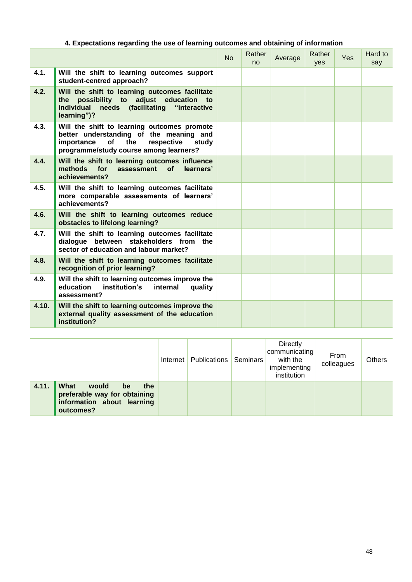## **4. Expectations regarding the use of learning outcomes and obtaining of information**

|       |                                                                                                                                                                                 | <b>No</b> | Rather<br>n <sub>0</sub> | Average | Rather<br><b>ves</b> | Yes | Hard to<br>say |
|-------|---------------------------------------------------------------------------------------------------------------------------------------------------------------------------------|-----------|--------------------------|---------|----------------------|-----|----------------|
| 4.1.  | Will the shift to learning outcomes support<br>student-centred approach?                                                                                                        |           |                          |         |                      |     |                |
| 4.2.  | Will the shift to learning outcomes facilitate<br>possibility to adjust education to<br>the<br>individual needs (facilitating "interactive<br>learning")?                       |           |                          |         |                      |     |                |
| 4.3.  | Will the shift to learning outcomes promote<br>better understanding of the meaning and<br>importance of<br>the<br>respective<br>study<br>programme/study course among learners? |           |                          |         |                      |     |                |
| 4.4.  | Will the shift to learning outcomes influence<br>methods for<br>of<br>assessment<br>learners'<br>achievements?                                                                  |           |                          |         |                      |     |                |
| 4.5.  | Will the shift to learning outcomes facilitate<br>more comparable assessments of learners'<br>achievements?                                                                     |           |                          |         |                      |     |                |
| 4.6.  | Will the shift to learning outcomes reduce<br>obstacles to lifelong learning?                                                                                                   |           |                          |         |                      |     |                |
| 4.7.  | Will the shift to learning outcomes facilitate<br>dialogue between stakeholders from the<br>sector of education and labour market?                                              |           |                          |         |                      |     |                |
| 4.8.  | Will the shift to learning outcomes facilitate<br>recognition of prior learning?                                                                                                |           |                          |         |                      |     |                |
| 4.9.  | Will the shift to learning outcomes improve the<br>education<br>institution's<br>internal<br>quality<br>assessment?                                                             |           |                          |         |                      |     |                |
| 4.10. | Will the shift to learning outcomes improve the<br>external quality assessment of the education<br>institution?                                                                 |           |                          |         |                      |     |                |

|                                                                                                                | Internet | Publications | Seminars | Directly<br>communicating<br>with the<br>implementing<br>institution | From<br>colleagues | <b>Others</b> |
|----------------------------------------------------------------------------------------------------------------|----------|--------------|----------|----------------------------------------------------------------------|--------------------|---------------|
| 4.11.<br>What<br>would<br>the<br>be<br>preferable way for obtaining<br>information about learning<br>outcomes? |          |              |          |                                                                      |                    |               |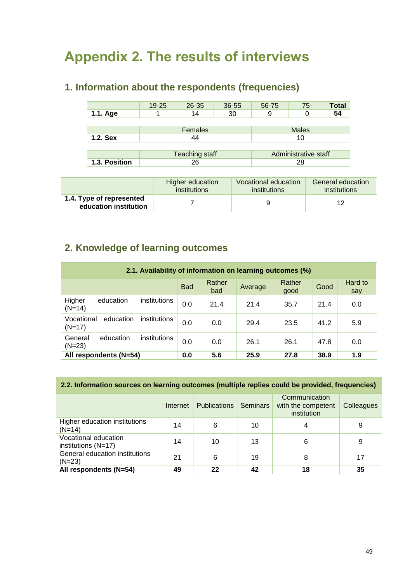## <span id="page-48-0"></span>**Appendix 2. The results of interviews**

## **1. Information about the respondents (frequencies)**

|               | $19 - 25$ | $26 - 35$             | 36-55 | 56-75 | $75-$                | <b>Total</b> |  |
|---------------|-----------|-----------------------|-------|-------|----------------------|--------------|--|
| 1.1. Age      |           | 14                    | 30    | 9     |                      | 54           |  |
|               |           |                       |       |       |                      |              |  |
|               |           | Females               |       |       | <b>Males</b>         |              |  |
| $1.2.$ Sex    |           | 44                    |       |       | 10                   |              |  |
|               |           |                       |       |       |                      |              |  |
|               |           | <b>Teaching staff</b> |       |       | Administrative staff |              |  |
| 1.3. Position | 26        |                       | 28    |       |                      |              |  |

|                                                   | Higher education | Vocational education | General education |  |
|---------------------------------------------------|------------------|----------------------|-------------------|--|
|                                                   | institutions     | institutions         | institutions      |  |
| 1.4. Type of represented<br>education institution |                  |                      | 12                |  |

## **2. Knowledge of learning outcomes**

| 2.1. Availability of information on learning outcomes (%) |            |               |         |                |      |                |  |  |  |  |  |  |
|-----------------------------------------------------------|------------|---------------|---------|----------------|------|----------------|--|--|--|--|--|--|
|                                                           | <b>Bad</b> | Rather<br>bad | Average | Rather<br>good | Good | Hard to<br>say |  |  |  |  |  |  |
| Higher<br>education<br>institutions<br>$(N=14)$           | 0.0        | 21.4          | 21.4    | 35.7           | 21.4 | 0.0            |  |  |  |  |  |  |
| Vocational<br>education<br>institutions<br>$(N=17)$       | 0.0        | 0.0           | 29.4    | 23.5           | 41.2 | 5.9            |  |  |  |  |  |  |
| education<br>institutions<br>General<br>$(N=23)$          | 0.0        | 0.0           | 26.1    | 26.1           | 47.8 | 0.0            |  |  |  |  |  |  |
| All respondents (N=54)                                    | 0.0        | 5.6           | 25.9    | 27.8           | 38.9 | 1.9            |  |  |  |  |  |  |

## **2.2. Information sources on learning outcomes (multiple replies could be provided, frequencies)**

|                                               | Internet | <b>Publications</b> | <b>Seminars</b> | Communication<br>with the competent<br>institution | Colleagues |
|-----------------------------------------------|----------|---------------------|-----------------|----------------------------------------------------|------------|
| Higher education institutions<br>$(N=14)$     | 14       | 6                   | 10              |                                                    | 9          |
| Vocational education<br>institutions $(N=17)$ | 14       | 10                  | 13              | 6                                                  | 9          |
| General education institutions<br>$(N=23)$    | 21       | 6                   | 19              | 8                                                  | 17         |
| All respondents (N=54)                        | 49       | 22                  | 42              | 18                                                 | 35         |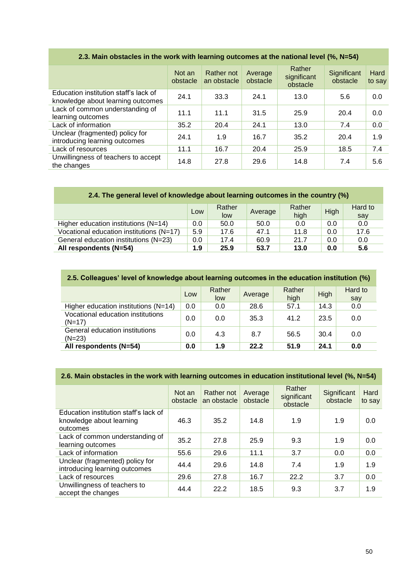|                                                                            | Not an<br>obstacle | Rather not<br>an obstacle | Average<br>obstacle | Rather<br>significant<br>obstacle | Significant<br>obstacle | Hard<br>to say |
|----------------------------------------------------------------------------|--------------------|---------------------------|---------------------|-----------------------------------|-------------------------|----------------|
| Education institution staff's lack of<br>knowledge about learning outcomes | 24.1               | 33.3                      | 24.1                | 13.0                              | 5.6                     | 0.0            |
| Lack of common understanding of<br>learning outcomes                       | 11.1               | 11.1                      | 31.5                | 25.9                              | 20.4                    | 0.0            |
| Lack of information                                                        | 35.2               | 20.4                      | 24.1                | 13.0                              | 7.4                     | 0.0            |
| Unclear (fragmented) policy for<br>introducing learning outcomes           | 24.1               | 1.9                       | 16.7                | 35.2                              | 20.4                    | 1.9            |
| Lack of resources                                                          | 11.1               | 16.7                      | 20.4                | 25.9                              | 18.5                    | 7.4            |
| Unwillingness of teachers to accept<br>the changes                         | 14.8               | 27.8                      | 29.6                | 14.8                              | 7.4                     | 5.6            |

## **2.3. Main obstacles in the work with learning outcomes at the national level (%, N=54)**

|                                          | Low | Rather<br>low | Average | Rather<br>high | High | Hard to<br>say |
|------------------------------------------|-----|---------------|---------|----------------|------|----------------|
| Higher education institutions (N=14)     | 0.0 | 50.0          | 50.0    | 0.0            | 0.0  | 0.0            |
| Vocational education institutions (N=17) | 5.9 | 17.6          | 47.1    | 11.8           | 0.0  | 17.6           |
| General education institutions (N=23)    | 0.0 | 17.4          | 60.9    | 21.7           | 0.0  | 0.0            |
| All respondents (N=54)                   | 1.9 | 25.9          | 53.7    | 13.0           | 0.0  | 5.6            |

| 2.5. Colleagues' level of knowledge about learning outcomes in the education institution (%) |     |               |         |                |      |                |  |  |  |  |  |  |
|----------------------------------------------------------------------------------------------|-----|---------------|---------|----------------|------|----------------|--|--|--|--|--|--|
|                                                                                              | Low | Rather<br>low | Average | Rather<br>high | High | Hard to<br>say |  |  |  |  |  |  |
| Higher education institutions (N=14)                                                         | 0.0 | 0.0           | 28.6    | 57.1           | 14.3 | 0.0            |  |  |  |  |  |  |
| Vocational education institutions<br>$(N=17)$                                                | 0.0 | 0.0           | 35.3    | 41.2           | 23.5 | 0.0            |  |  |  |  |  |  |
| General education institutions<br>$(N=23)$                                                   | 0.0 | 4.3           | 8.7     | 56.5           | 30.4 | 0.0            |  |  |  |  |  |  |
| All respondents (N=54)                                                                       | 0.0 | 1.9           | 22.2    | 51.9           | 24.1 | 0.0            |  |  |  |  |  |  |

## **2.6. Main obstacles in the work with learning outcomes in education institutional level (%, N=54)**

|                                                                               | Not an<br>obstacle | Rather not<br>an obstacle | Average<br>obstacle | Rather<br>significant<br>obstacle | Significant<br>obstacle | Hard<br>to say |
|-------------------------------------------------------------------------------|--------------------|---------------------------|---------------------|-----------------------------------|-------------------------|----------------|
| Education institution staff's lack of<br>knowledge about learning<br>outcomes | 46.3               | 35.2                      | 14.8                | 1.9                               | 1.9                     | 0.0            |
| Lack of common understanding of<br>learning outcomes                          | 35.2               | 27.8                      | 25.9                | 9.3                               | 1.9                     | 0.0            |
| Lack of information                                                           | 55.6               | 29.6                      | 11.1                | 3.7                               | 0.0                     | 0.0            |
| Unclear (fragmented) policy for<br>introducing learning outcomes              | 44.4               | 29.6                      | 14.8                | 7.4                               | 1.9                     | 1.9            |
| Lack of resources                                                             | 29.6               | 27.8                      | 16.7                | 22.2                              | 3.7                     | 0.0            |
| Unwillingness of teachers to<br>accept the changes                            | 44.4               | 22.2                      | 18.5                | 9.3                               | 3.7                     | 1.9            |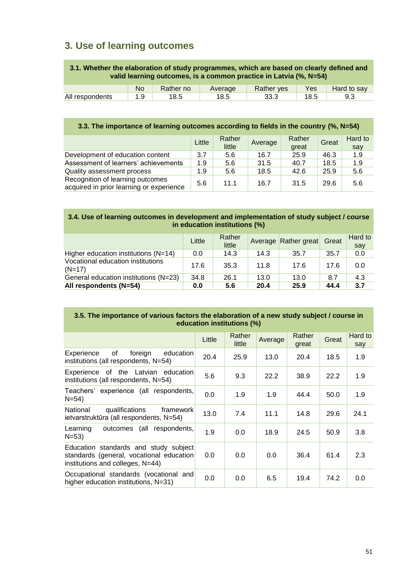## **3. Use of learning outcomes**

| 3.1. Whether the elaboration of study programmes, which are based on clearly defined and<br>valid learning outcomes, is a common practice in Latvia (%, N=54) |           |           |         |            |      |             |  |  |  |  |
|---------------------------------------------------------------------------------------------------------------------------------------------------------------|-----------|-----------|---------|------------|------|-------------|--|--|--|--|
|                                                                                                                                                               | <b>No</b> | Rather no | Average | Rather ves | Yes  | Hard to say |  |  |  |  |
| All respondents                                                                                                                                               | 1.9       | 18.5      | 18.5    | 33.3       | 18.5 | 9.3         |  |  |  |  |

## **3.3. The importance of learning outcomes according to fields in the country (%, N=54)**

|                                                                              | Little | Rather<br>little | Average | Rather<br>great | Great | Hard to<br>say |
|------------------------------------------------------------------------------|--------|------------------|---------|-----------------|-------|----------------|
| Development of education content                                             | 3.7    | 5.6              | 16.7    | 25.9            | 46.3  | 1.9            |
| Assessment of learners' achievements                                         | 1.9    | 5.6              | 31.5    | 40.7            | 18.5  | 1.9            |
| Quality assessment process                                                   | 1.9    | 5.6              | 18.5    | 42.6            | 25.9  | 5.6            |
| Recognition of learning outcomes<br>acquired in prior learning or experience | 5.6    | 11.1             | 16.7    | 31.5            | 29.6  | 5.6            |

#### **3.4. Use of learning outcomes in development and implementation of study subject / course in education institutions (%)**

|                                               | Little | Rather<br>little |      | Average Rather great | Great | Hard to<br>say |
|-----------------------------------------------|--------|------------------|------|----------------------|-------|----------------|
| Higher education institutions $(N=14)$        | 0.0    | 14.3             | 14.3 | 35.7                 | 35.7  | 0.0            |
| Vocational education institutions<br>$(N=17)$ | 17.6   | 35.3             | 11.8 | 17.6                 | 17.6  | 0.0            |
| General education institutions (N=23)         | 34.8   | 26.1             | 13.0 | 13.0                 | 8.7   | 4.3            |
| All respondents (N=54)                        | 0.0    | 5.6              | 20.4 | 25.9                 | 44.4  | 3.7            |

#### **3.5. The importance of various factors the elaboration of a new study subject / course in education institutions (%)**

|                                                                                                                       | Little | Rather<br>little | Average | Rather<br>great | Great | Hard to<br>say |
|-----------------------------------------------------------------------------------------------------------------------|--------|------------------|---------|-----------------|-------|----------------|
| 0f<br>foreign<br>education<br>Experience<br>institutions (all respondents, N=54)                                      | 20.4   | 25.9             | 13.0    | 20.4            | 18.5  | 1.9            |
| Experience of the Latvian education<br>institutions (all respondents, N=54)                                           | 5.6    | 9.3              | 22.2    | 38.9            | 22.2  | 1.9            |
| Teachers' experience (all respondents,<br>$N = 54$                                                                    | 0.0    | 1.9              | 1.9     | 44.4            | 50.0  | 1.9            |
| National<br>qualifications<br>framework<br>ietvarstruktūra (all respondents, N=54)                                    | 13.0   | 7.4              | 11.1    | 14.8            | 29.6  | 24.1           |
| Learning<br>outcomes (all respondents,<br>$N = 53$                                                                    | 1.9    | 0.0              | 18.9    | 24.5            | 50.9  | 3.8            |
| Education standards and study subject<br>standards (general, vocational education<br>institutions and colleges, N=44) | 0.0    | 0.0              | 0.0     | 36.4            | 61.4  | 2.3            |
| Occupational standards (vocational and<br>higher education institutions, N=31)                                        | 0.0    | 0.0              | 6.5     | 19.4            | 74.2  | 0.0            |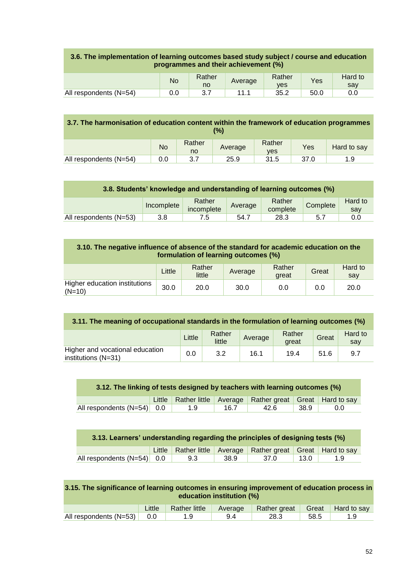| 3.6. The implementation of learning outcomes based study subject / course and education | programmes and their achievement (%) |  |  |  |  |  |  |  |  |
|-----------------------------------------------------------------------------------------|--------------------------------------|--|--|--|--|--|--|--|--|
|                                                                                         |                                      |  |  |  |  |  |  |  |  |

|                        | <b>No</b> | Rather<br>no | Average | Rather<br><b>ves</b> | Yes  | Hard to<br>say |
|------------------------|-----------|--------------|---------|----------------------|------|----------------|
| All respondents (N=54) | U.U       | ◡.,          |         | 35.2                 | 50.C | 0.0            |
|                        |           |              |         |                      |      |                |

|                        | 3.7. The harmonisation of education content within the framework of education programmes<br>(%) |              |         |                      |      |             |  |  |  |  |  |  |
|------------------------|-------------------------------------------------------------------------------------------------|--------------|---------|----------------------|------|-------------|--|--|--|--|--|--|
|                        | <b>No</b>                                                                                       | Rather<br>no | Average | Rather<br><b>ves</b> | Yes  | Hard to say |  |  |  |  |  |  |
| All respondents (N=54) | 0.0                                                                                             | 3.7          | 25.9    | 31.5                 | 37.0 | 1.9         |  |  |  |  |  |  |

| 3.8. Students' knowledge and understanding of learning outcomes (%) |            |                      |         |                    |          |                |  |  |  |  |  |  |
|---------------------------------------------------------------------|------------|----------------------|---------|--------------------|----------|----------------|--|--|--|--|--|--|
|                                                                     | Incomplete | Rather<br>incomplete | Average | Rather<br>complete | Complete | Hard to<br>sav |  |  |  |  |  |  |
| All respondents (N=53)                                              | 3.8        | 7.5                  | 54.7    | 28.3               | 5.7      | 0.0            |  |  |  |  |  |  |

| 3.10. The negative influence of absence of the standard for academic education on the<br>formulation of learning outcomes (%) |        |                  |         |                 |       |                |  |  |  |  |  |  |
|-------------------------------------------------------------------------------------------------------------------------------|--------|------------------|---------|-----------------|-------|----------------|--|--|--|--|--|--|
|                                                                                                                               | Little | Rather<br>little | Average | Rather<br>great | Great | Hard to<br>say |  |  |  |  |  |  |
| Higher education institutions<br>$(N=10)$                                                                                     | 30.0   | 20.0             | 30.0    | 0.0             | 0.0   | 20.0           |  |  |  |  |  |  |

| 3.11. The meaning of occupational standards in the formulation of learning outcomes (%) |        |                  |         |                 |       |                |  |  |  |  |  |
|-----------------------------------------------------------------------------------------|--------|------------------|---------|-----------------|-------|----------------|--|--|--|--|--|
|                                                                                         | Little | Rather<br>little | Average | Rather<br>areat | Great | Hard to<br>sav |  |  |  |  |  |
| Higher and vocational education<br>institutions $(N=31)$                                | 0.0    | 3.2              | 16.1    | 19.4            | 51.6  | 9.7            |  |  |  |  |  |

| 3.12. The linking of tests designed by teachers with learning outcomes (%) |  |     |      |                                                                       |      |     |  |  |  |  |  |
|----------------------------------------------------------------------------|--|-----|------|-----------------------------------------------------------------------|------|-----|--|--|--|--|--|
|                                                                            |  |     |      | Little   Rather little   Average   Rather great   Great   Hard to say |      |     |  |  |  |  |  |
| All respondents $(N=54)$ 0.0                                               |  | 1.9 | 16.7 | 42.6                                                                  | 38.9 | 0.0 |  |  |  |  |  |

|                              | 3.13. Learners' understanding regarding the principles of designing tests (%) |     |      |                                                      |      |     |  |  |  |  |  |  |
|------------------------------|-------------------------------------------------------------------------------|-----|------|------------------------------------------------------|------|-----|--|--|--|--|--|--|
|                              | Little                                                                        |     |      | Rather little Average Rather great Great Hard to say |      |     |  |  |  |  |  |  |
| All respondents $(N=54)$ 0.0 |                                                                               | 9.3 | 38.9 | 37.0                                                 | 13.0 | 1.9 |  |  |  |  |  |  |

| 3.15. The significance of learning outcomes in ensuring improvement of education process in |
|---------------------------------------------------------------------------------------------|
| education institution (%)                                                                   |

|                              | Little | Rather little | Average Rather great Great Hard to say |       |  |
|------------------------------|--------|---------------|----------------------------------------|-------|--|
| All respondents $(N=53)$ 0.0 |        |               | 28.3                                   | -58.5 |  |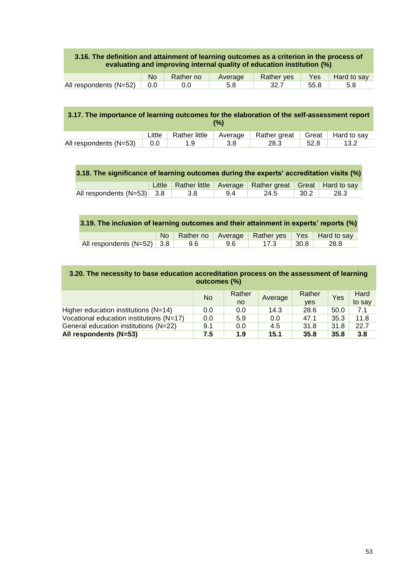#### **3.16. The definition and attainment of learning outcomes as a criterion in the process of evaluating and improving internal quality of education institution (%)**

|                        |     | Rather no | Average | <b>Rather yes</b> | Yes  | Hard to say |
|------------------------|-----|-----------|---------|-------------------|------|-------------|
| All respondents (N=52) | 0.0 |           | 5.8     |                   | nn x |             |

| 3.17. The importance of learning outcomes for the elaboration of the self-assessment report<br>(%) |        |               |         |              |       |             |  |  |
|----------------------------------------------------------------------------------------------------|--------|---------------|---------|--------------|-------|-------------|--|--|
|                                                                                                    | Little | Rather little | Average | Rather great | Great | Hard to say |  |  |
| All respondents (N=53)                                                                             | 0.0    | 1.9           | 3.8     | 28.3         | 52.8  | 13.2        |  |  |

|  | 3.18. The significance of learning outcomes during the experts' accreditation visits (%) |  |  |  |  |
|--|------------------------------------------------------------------------------------------|--|--|--|--|
|--|------------------------------------------------------------------------------------------|--|--|--|--|

|                                  |  | Little Rather little Average Rather great Great Hard to say |  |
|----------------------------------|--|-------------------------------------------------------------|--|
| All respondents $(N=53)$ 3.8 3.8 |  | 9.4 24.5 30.2 28.3                                          |  |

## **3.19. The inclusion of learning outcomes and their attainment in experts' reports (%)**

|                                          |  |              | No Rather no Average Rather yes Yes Hard to say |      |
|------------------------------------------|--|--------------|-------------------------------------------------|------|
| All respondents $(N=52)$ 3.8 $\vert$ 9.6 |  | <b>9.6</b> 1 | $\vert$ 17.3 30.8 $\vert$                       | 28.8 |

| 3.20. The necessity to base education accreditation process on the assessment of learning |
|-------------------------------------------------------------------------------------------|
| outcomes (%)                                                                              |

|                                          | <b>No</b> | Rather<br>no | Average | Rather<br><b>ves</b> | Yes  | Hard<br>to say |
|------------------------------------------|-----------|--------------|---------|----------------------|------|----------------|
| Higher education institutions $(N=14)$   | 0.0       | 0.0          | 14.3    | 28.6                 | 50.0 | 7.1            |
| Vocational education institutions (N=17) | 0.0       | 5.9          | 0.0     | 47.1                 | 35.3 | 11.8           |
| General education institutions (N=22)    | 9.1       | 0.0          | 4.5     | 31.8                 | 31.8 | 22.7           |
| All respondents (N=53)                   | 7.5       | 1.9          | 15.1    | 35.8                 | 35.8 | 3.8            |